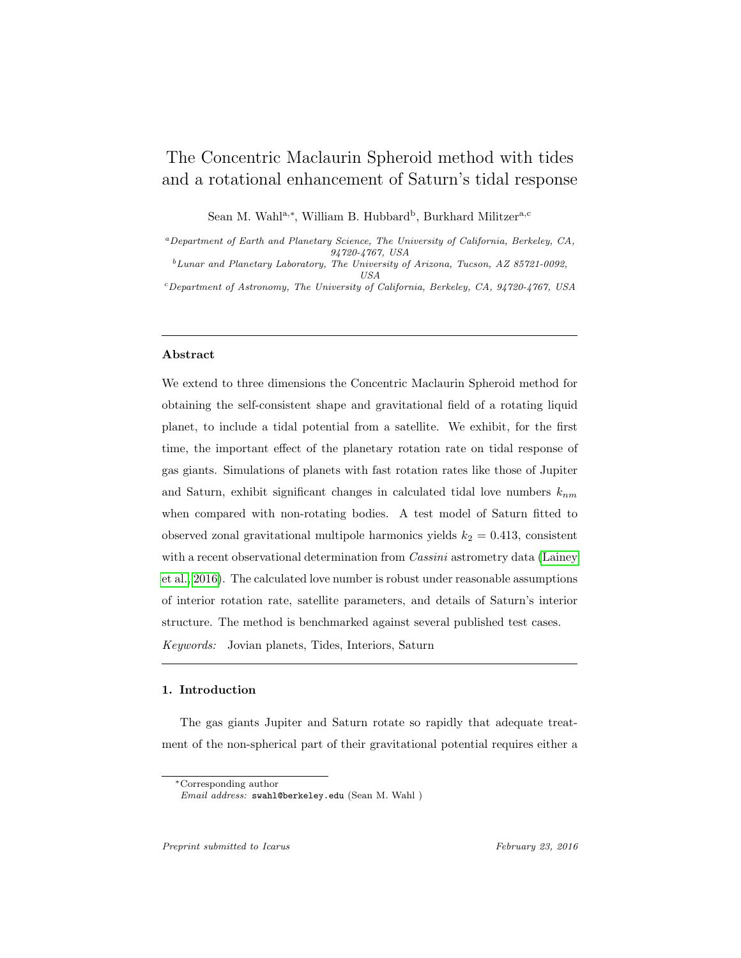# The Concentric Maclaurin Spheroid method with tides and a rotational enhancement of Saturn's tidal response

Sean M. Wahl<sup>a,∗</sup>, William B. Hubbard<sup>b</sup>, Burkhard Militzer<sup>a,c</sup>

<sup>a</sup>Department of Earth and Planetary Science, The University of California, Berkeley, CA, 94720-4767, USA

 $^{b}$ Lunar and Planetary Laboratory, The University of Arizona, Tucson, AZ 85721-0092, USA

<sup>c</sup>Department of Astronomy, The University of California, Berkeley, CA, 94720-4767, USA

# Abstract

We extend to three dimensions the Concentric Maclaurin Spheroid method for obtaining the self-consistent shape and gravitational field of a rotating liquid planet, to include a tidal potential from a satellite. We exhibit, for the first time, the important effect of the planetary rotation rate on tidal response of gas giants. Simulations of planets with fast rotation rates like those of Jupiter and Saturn, exhibit significant changes in calculated tidal love numbers  $k_{nm}$ when compared with non-rotating bodies. A test model of Saturn fitted to observed zonal gravitational multipole harmonics yields  $k_2 = 0.413$ , consistent with a recent observational determination from *Cassini* astrometry data [\(Lainey](#page-27-0) [et al., 2016\)](#page-27-0). The calculated love number is robust under reasonable assumptions of interior rotation rate, satellite parameters, and details of Saturn's interior structure. The method is benchmarked against several published test cases.

Keywords: Jovian planets, Tides, Interiors, Saturn

# 1. Introduction

The gas giants Jupiter and Saturn rotate so rapidly that adequate treatment of the non-spherical part of their gravitational potential requires either a

<sup>∗</sup>Corresponding author

Email address: swahl@berkeley.edu (Sean M. Wahl )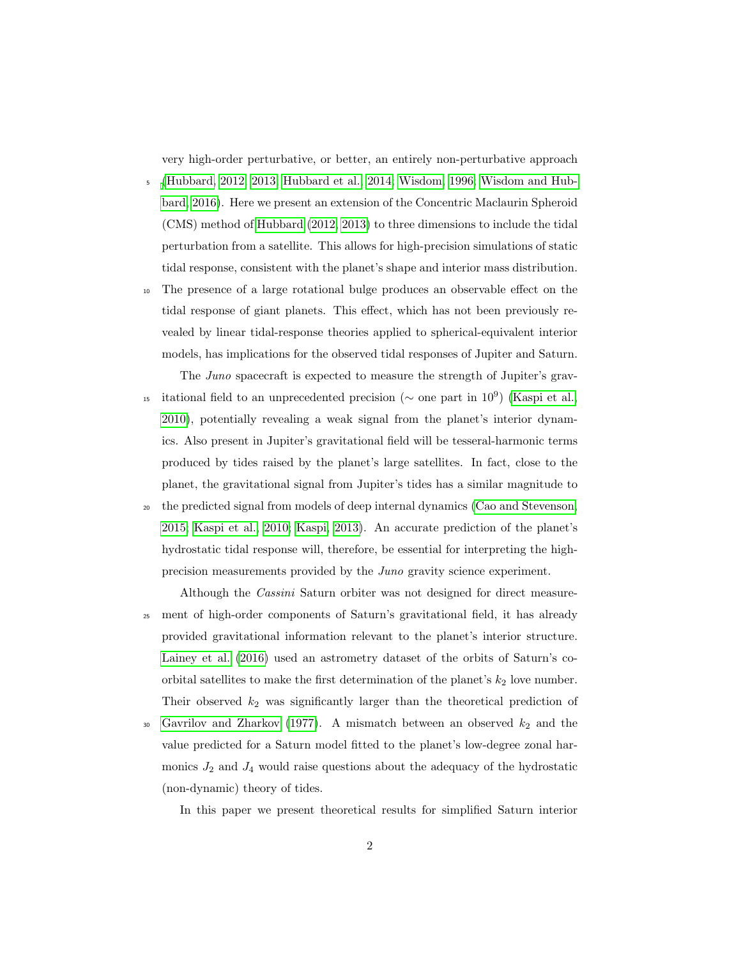very high-order perturbative, or better, an entirely non-perturbative approach

- <sup>5</sup> [\(Hubbard, 2012,](#page-26-0) [2013;](#page-26-1) [Hubbard et al., 2014;](#page-26-2) [Wisdom, 1996;](#page-28-0) [Wisdom and Hub](#page-28-1)[bard, 2016\)](#page-28-1). Here we present an extension of the Concentric Maclaurin Spheroid (CMS) method of [Hubbard](#page-26-0) [\(2012,](#page-26-0) [2013\)](#page-26-1) to three dimensions to include the tidal perturbation from a satellite. This allows for high-precision simulations of static tidal response, consistent with the planet's shape and interior mass distribution.
- <sup>10</sup> The presence of a large rotational bulge produces an observable effect on the tidal response of giant planets. This effect, which has not been previously revealed by linear tidal-response theories applied to spherical-equivalent interior models, has implications for the observed tidal responses of Jupiter and Saturn.
- The Juno spacecraft is expected to measure the strength of Jupiter's grav-<sup>15</sup> itational field to an unprecedented precision ( $\sim$  one part in 10<sup>9</sup>) [\(Kaspi et al.,](#page-27-1) [2010\)](#page-27-1), potentially revealing a weak signal from the planet's interior dynamics. Also present in Jupiter's gravitational field will be tesseral-harmonic terms produced by tides raised by the planet's large satellites. In fact, close to the planet, the gravitational signal from Jupiter's tides has a similar magnitude to <sup>20</sup> the predicted signal from models of deep internal dynamics [\(Cao and Stevenson,](#page-25-0)
- [2015;](#page-25-0) [Kaspi et al., 2010;](#page-27-1) [Kaspi, 2013\)](#page-27-2). An accurate prediction of the planet's hydrostatic tidal response will, therefore, be essential for interpreting the highprecision measurements provided by the Juno gravity science experiment.
- Although the Cassini Saturn orbiter was not designed for direct measure-<sup>25</sup> ment of high-order components of Saturn's gravitational field, it has already provided gravitational information relevant to the planet's interior structure. [Lainey et al.](#page-27-0) [\(2016\)](#page-27-0) used an astrometry dataset of the orbits of Saturn's coorbital satellites to make the first determination of the planet's  $k_2$  love number. Their observed  $k_2$  was significantly larger than the theoretical prediction of
- 30 [Gavrilov and Zharkov](#page-25-1) [\(1977\)](#page-25-1). A mismatch between an observed  $k_2$  and the value predicted for a Saturn model fitted to the planet's low-degree zonal harmonics  $J_2$  and  $J_4$  would raise questions about the adequacy of the hydrostatic (non-dynamic) theory of tides.

In this paper we present theoretical results for simplified Saturn interior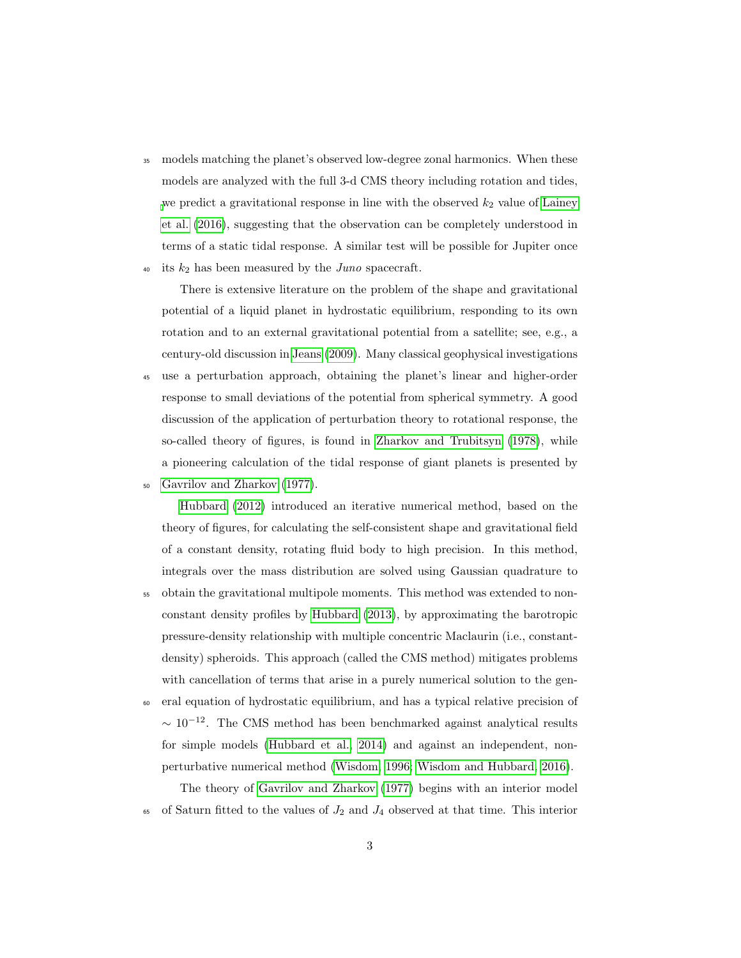<sup>35</sup> models matching the planet's observed low-degree zonal harmonics. When these models are analyzed with the full 3-d CMS theory including rotation and tides, [w](#page-27-0)e predict a gravitational response in line with the observed  $k_2$  value of [Lainey](#page-27-0) [et al.](#page-27-0) [\(2016\)](#page-27-0), suggesting that the observation can be completely understood in terms of a static tidal response. A similar test will be possible for Jupiter once 40 its  $k_2$  has been measured by the *Juno* spacecraft.

There is extensive literature on the problem of the shape and gravitational potential of a liquid planet in hydrostatic equilibrium, responding to its own rotation and to an external gravitational potential from a satellite; see, e.g., a century-old discussion in [Jeans](#page-26-3) [\(2009\)](#page-26-3). Many classical geophysical investigations

- <sup>45</sup> use a perturbation approach, obtaining the planet's linear and higher-order response to small deviations of the potential from spherical symmetry. A good discussion of the application of perturbation theory to rotational response, the so-called theory of figures, is found in [Zharkov and Trubitsyn](#page-28-2) [\(1978\)](#page-28-2), while a pioneering calculation of the tidal response of giant planets is presented by
- <sup>50</sup> [Gavrilov and Zharkov](#page-25-1) [\(1977\)](#page-25-1).

[Hubbard](#page-26-0) [\(2012\)](#page-26-0) introduced an iterative numerical method, based on the theory of figures, for calculating the self-consistent shape and gravitational field of a constant density, rotating fluid body to high precision. In this method, integrals over the mass distribution are solved using Gaussian quadrature to

- <sup>55</sup> obtain the gravitational multipole moments. This method was extended to nonconstant density profiles by [Hubbard](#page-26-1) [\(2013\)](#page-26-1), by approximating the barotropic pressure-density relationship with multiple concentric Maclaurin (i.e., constantdensity) spheroids. This approach (called the CMS method) mitigates problems with cancellation of terms that arise in a purely numerical solution to the gen-
- <sup>60</sup> eral equation of hydrostatic equilibrium, and has a typical relative precision of  $\sim 10^{-12}$ . The CMS method has been benchmarked against analytical results for simple models [\(Hubbard et al., 2014\)](#page-26-2) and against an independent, nonperturbative numerical method [\(Wisdom, 1996;](#page-28-0) [Wisdom and Hubbard, 2016\)](#page-28-1).

The theory of [Gavrilov and Zharkov](#page-25-1) [\(1977\)](#page-25-1) begins with an interior model 65 of Saturn fitted to the values of  $J_2$  and  $J_4$  observed at that time. This interior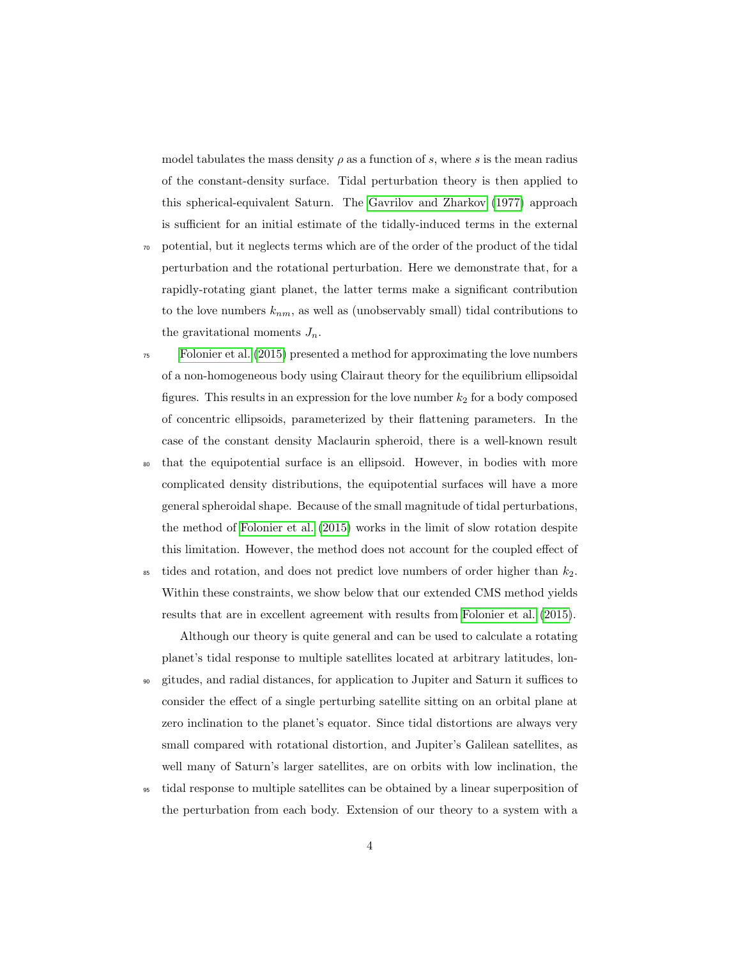model tabulates the mass density  $\rho$  as a function of s, where s is the mean radius of the constant-density surface. Tidal perturbation theory is then applied to this spherical-equivalent Saturn. The [Gavrilov and Zharkov](#page-25-1) [\(1977\)](#page-25-1) approach is sufficient for an initial estimate of the tidally-induced terms in the external

- <sup>70</sup> potential, but it neglects terms which are of the order of the product of the tidal perturbation and the rotational perturbation. Here we demonstrate that, for a rapidly-rotating giant planet, the latter terms make a significant contribution to the love numbers  $k_{nm}$ , as well as (unobservably small) tidal contributions to the gravitational moments  $J_n$ .
- <sup>75</sup> [Folonier et al.](#page-25-2) [\(2015\)](#page-25-2) presented a method for approximating the love numbers of a non-homogeneous body using Clairaut theory for the equilibrium ellipsoidal figures. This results in an expression for the love number  $k_2$  for a body composed of concentric ellipsoids, parameterized by their flattening parameters. In the case of the constant density Maclaurin spheroid, there is a well-known result
- <sup>80</sup> that the equipotential surface is an ellipsoid. However, in bodies with more complicated density distributions, the equipotential surfaces will have a more general spheroidal shape. Because of the small magnitude of tidal perturbations, the method of [Folonier et al.](#page-25-2) [\(2015\)](#page-25-2) works in the limit of slow rotation despite this limitation. However, the method does not account for the coupled effect of
- $\frac{1}{85}$  tides and rotation, and does not predict love numbers of order higher than  $k_2$ . Within these constraints, we show below that our extended CMS method yields results that are in excellent agreement with results from [Folonier et al.](#page-25-2) [\(2015\)](#page-25-2).

Although our theory is quite general and can be used to calculate a rotating planet's tidal response to multiple satellites located at arbitrary latitudes, lon-

- <sup>90</sup> gitudes, and radial distances, for application to Jupiter and Saturn it suffices to consider the effect of a single perturbing satellite sitting on an orbital plane at zero inclination to the planet's equator. Since tidal distortions are always very small compared with rotational distortion, and Jupiter's Galilean satellites, as well many of Saturn's larger satellites, are on orbits with low inclination, the
- <sup>95</sup> tidal response to multiple satellites can be obtained by a linear superposition of the perturbation from each body. Extension of our theory to a system with a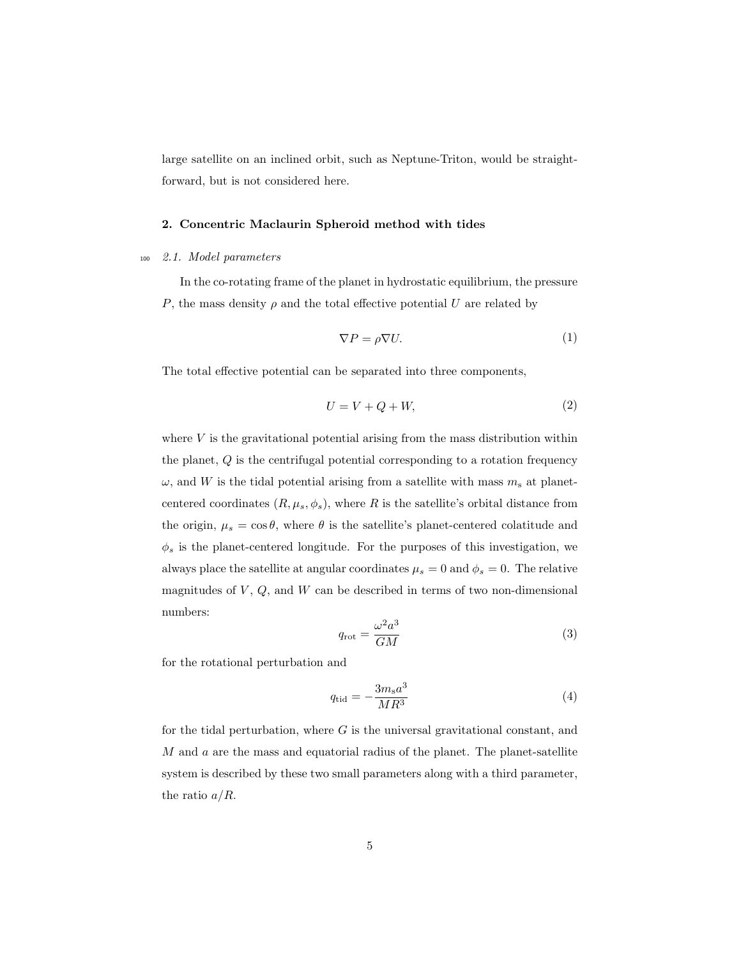large satellite on an inclined orbit, such as Neptune-Triton, would be straightforward, but is not considered here.

## 2. Concentric Maclaurin Spheroid method with tides

# <sup>100</sup> 2.1. Model parameters

In the co-rotating frame of the planet in hydrostatic equilibrium, the pressure P, the mass density  $\rho$  and the total effective potential U are related by

<span id="page-4-0"></span>
$$
\nabla P = \rho \nabla U. \tag{1}
$$

The total effective potential can be separated into three components,

$$
U = V + Q + W,\t\t(2)
$$

where  $V$  is the gravitational potential arising from the mass distribution within the planet, Q is the centrifugal potential corresponding to a rotation frequency  $\omega$ , and W is the tidal potential arising from a satellite with mass  $m_s$  at planetcentered coordinates  $(R, \mu_s, \phi_s)$ , where R is the satellite's orbital distance from the origin,  $\mu_s = \cos \theta$ , where  $\theta$  is the satellite's planet-centered colatitude and  $\phi_s$  is the planet-centered longitude. For the purposes of this investigation, we always place the satellite at angular coordinates  $\mu_s = 0$  and  $\phi_s = 0$ . The relative magnitudes of  $V, Q$ , and  $W$  can be described in terms of two non-dimensional numbers:

$$
q_{\rm rot} = \frac{\omega^2 a^3}{GM} \tag{3}
$$

for the rotational perturbation and

$$
q_{\rm tid} = -\frac{3m_s a^3}{MR^3} \tag{4}
$$

for the tidal perturbation, where  $G$  is the universal gravitational constant, and  $M$  and  $a$  are the mass and equatorial radius of the planet. The planet-satellite system is described by these two small parameters along with a third parameter, the ratio  $a/R$ .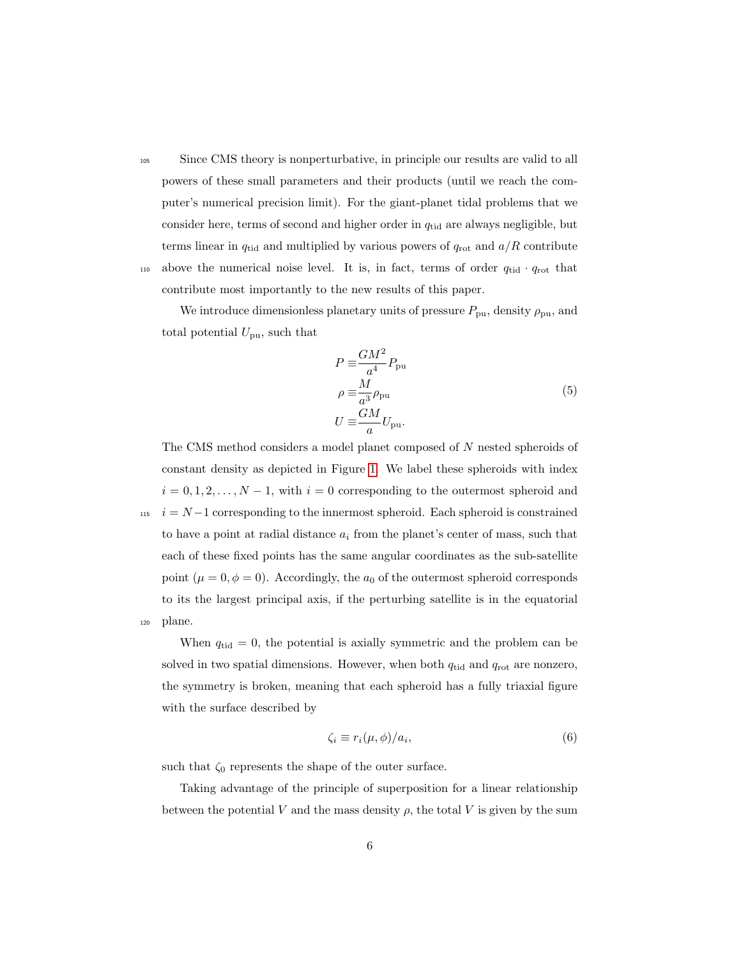<sup>105</sup> Since CMS theory is nonperturbative, in principle our results are valid to all powers of these small parameters and their products (until we reach the computer's numerical precision limit). For the giant-planet tidal problems that we consider here, terms of second and higher order in  $q_{tid}$  are always negligible, but terms linear in  $q_{tid}$  and multiplied by various powers of  $q_{rot}$  and  $a/R$  contribute 110 above the numerical noise level. It is, in fact, terms of order  $q_{tid} \cdot q_{rot}$  that contribute most importantly to the new results of this paper.

We introduce dimensionless planetary units of pressure  $P_{\text{pu}}$ , density  $\rho_{\text{pu}}$ , and total potential  $U_{\text{pu}}$ , such that

$$
P \equiv \frac{GM^2}{a^4} P_{\text{pu}}
$$
  
\n
$$
\rho \equiv \frac{M}{a^3} \rho_{\text{pu}}
$$
  
\n
$$
U \equiv \frac{GM}{a} U_{\text{pu}}.
$$
\n(5)

The CMS method considers a model planet composed of N nested spheroids of constant density as depicted in Figure [1.](#page-28-3) We label these spheroids with index  $i = 0, 1, 2, \ldots, N - 1$ , with  $i = 0$  corresponding to the outermost spheroid and  $115 \quad i = N-1$  corresponding to the innermost spheroid. Each spheroid is constrained to have a point at radial distance  $a_i$  from the planet's center of mass, such that each of these fixed points has the same angular coordinates as the sub-satellite point ( $\mu = 0, \phi = 0$ ). Accordingly, the  $a_0$  of the outermost spheroid corresponds to its the largest principal axis, if the perturbing satellite is in the equatorial <sup>120</sup> plane.

When  $q_{tid} = 0$ , the potential is axially symmetric and the problem can be solved in two spatial dimensions. However, when both  $q_{tid}$  and  $q_{rot}$  are nonzero, the symmetry is broken, meaning that each spheroid has a fully triaxial figure with the surface described by

$$
\zeta_i \equiv r_i(\mu, \phi)/a_i,\tag{6}
$$

such that  $\zeta_0$  represents the shape of the outer surface.

Taking advantage of the principle of superposition for a linear relationship between the potential V and the mass density  $\rho$ , the total V is given by the sum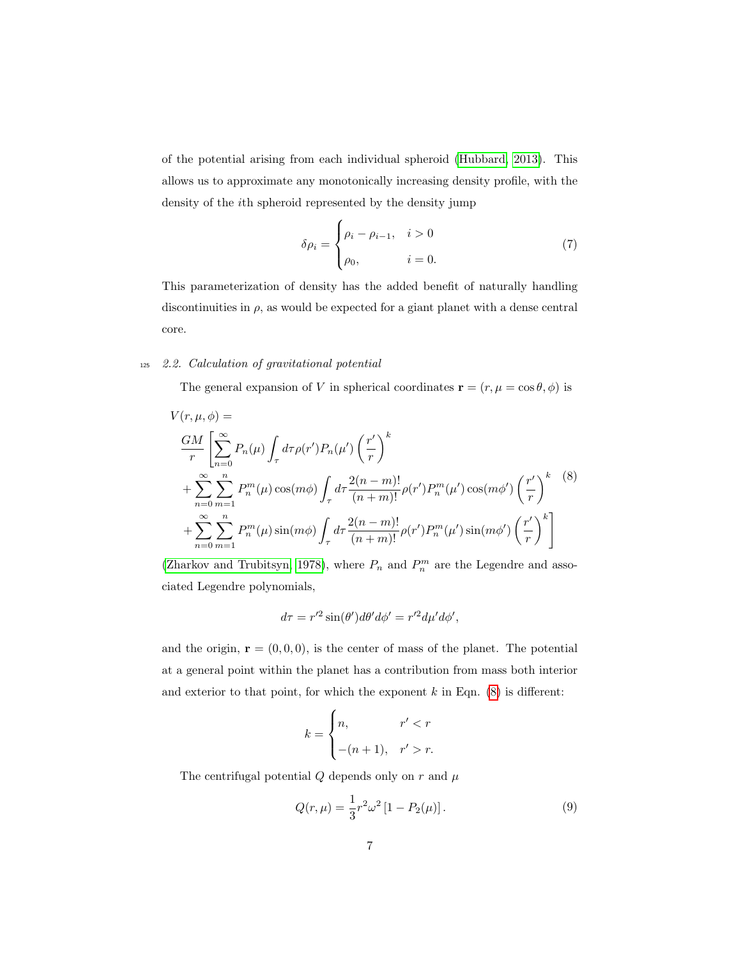of the potential arising from each individual spheroid [\(Hubbard, 2013\)](#page-26-1). This allows us to approximate any monotonically increasing density profile, with the density of the ith spheroid represented by the density jump

<span id="page-6-0"></span>
$$
\delta \rho_i = \begin{cases} \rho_i - \rho_{i-1}, & i > 0 \\ \rho_0, & i = 0. \end{cases} \tag{7}
$$

This parameterization of density has the added benefit of naturally handling discontinuities in  $\rho$ , as would be expected for a giant planet with a dense central core.

# <sup>125</sup> 2.2. Calculation of gravitational potential

The general expansion of V in spherical coordinates  $\mathbf{r} = (r, \mu = \cos \theta, \phi)$  is

$$
V(r, \mu, \phi) =
$$
  
\n
$$
\frac{GM}{r} \left[ \sum_{n=0}^{\infty} P_n(\mu) \int_{\tau} d\tau \rho(r') P_n(\mu') \left( \frac{r'}{r} \right)^k
$$
  
\n
$$
+ \sum_{n=0}^{\infty} \sum_{m=1}^n P_n^m(\mu) \cos(m\phi) \int_{\tau} d\tau \frac{2(n-m)!}{(n+m)!} \rho(r') P_n^m(\mu') \cos(m\phi') \left( \frac{r'}{r} \right)^k
$$
  
\n
$$
+ \sum_{n=0}^{\infty} \sum_{m=1}^n P_n^m(\mu) \sin(m\phi) \int_{\tau} d\tau \frac{2(n-m)!}{(n+m)!} \rho(r') P_n^m(\mu') \sin(m\phi') \left( \frac{r'}{r} \right)^k
$$

[\(Zharkov and Trubitsyn, 1978\)](#page-28-2), where  $P_n$  and  $P_n^m$  are the Legendre and associated Legendre polynomials,

$$
d\tau = r'^2 \sin(\theta') d\theta' d\phi' = r'^2 d\mu' d\phi',
$$

and the origin,  $\mathbf{r} = (0, 0, 0)$ , is the center of mass of the planet. The potential at a general point within the planet has a contribution from mass both interior and exterior to that point, for which the exponent  $k$  in Eqn.  $(8)$  is different:

$$
k = \begin{cases} n, & r' < r \\ -(n+1), & r' > r. \end{cases}
$$

The centrifugal potential  $Q$  depends only on  $r$  and  $\mu$ 

$$
Q(r,\mu) = \frac{1}{3}r^2\omega^2 [1 - P_2(\mu)].
$$
\n(9)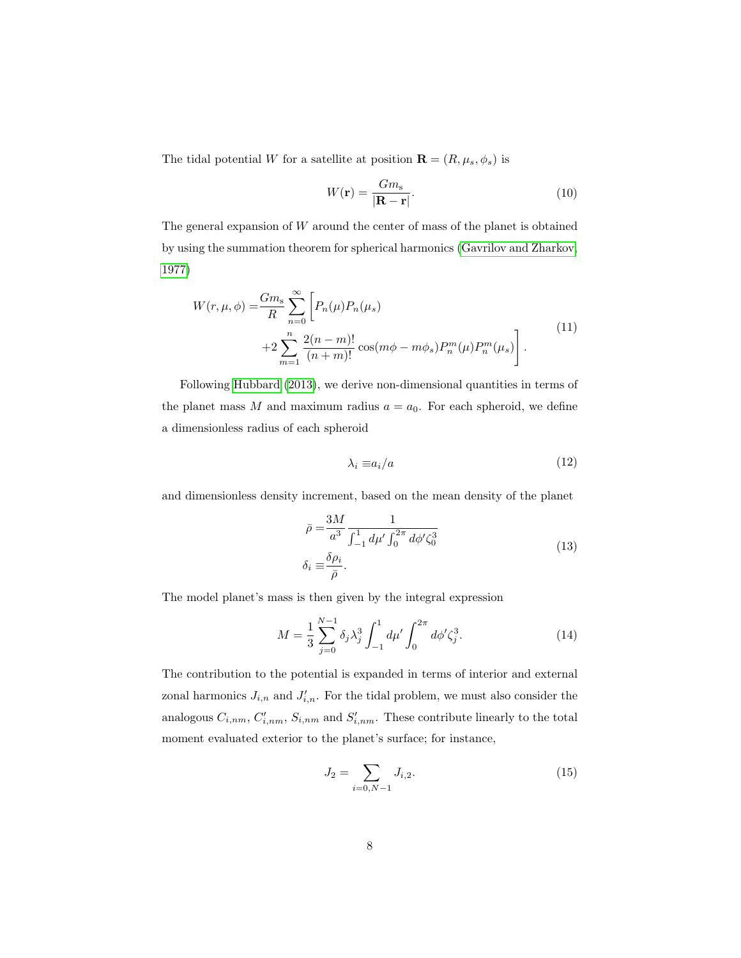The tidal potential W for a satellite at position  $\mathbf{R} = (R, \mu_s, \phi_s)$  is

$$
W(\mathbf{r}) = \frac{Gm_{\rm s}}{|\mathbf{R} - \mathbf{r}|}.\tag{10}
$$

The general expansion of  $W$  around the center of mass of the planet is obtained by using the summation theorem for spherical harmonics [\(Gavrilov and Zharkov,](#page-25-1) [1977\)](#page-25-1)

$$
W(r, \mu, \phi) = \frac{Gm_s}{R} \sum_{n=0}^{\infty} \left[ P_n(\mu) P_n(\mu_s) + 2 \sum_{m=1}^n \frac{2(n-m)!}{(n+m)!} \cos(m\phi - m\phi_s) P_n^m(\mu) P_n^m(\mu_s) \right].
$$
\n(11)

Following [Hubbard](#page-26-1) [\(2013\)](#page-26-1), we derive non-dimensional quantities in terms of the planet mass M and maximum radius  $a = a_0$ . For each spheroid, we define a dimensionless radius of each spheroid

$$
\lambda_i \equiv a_i/a \tag{12}
$$

and dimensionless density increment, based on the mean density of the planet

$$
\bar{\rho} = \frac{3M}{a^3} \frac{1}{\int_{-1}^{1} d\mu' \int_{0}^{2\pi} d\phi' \zeta_0^3}
$$
\n
$$
\delta_i \equiv \frac{\delta \rho_i}{\bar{\rho}}.
$$
\n(13)

The model planet's mass is then given by the integral expression

$$
M = \frac{1}{3} \sum_{j=0}^{N-1} \delta_j \lambda_j^3 \int_{-1}^1 d\mu' \int_0^{2\pi} d\phi' \zeta_j^3.
$$
 (14)

The contribution to the potential is expanded in terms of interior and external zonal harmonics  $J_{i,n}$  and  $J'_{i,n}$ . For the tidal problem, we must also consider the analogous  $C_{i,nm}$ ,  $C'_{i,nm}$ ,  $S_{i,nm}$  and  $S'_{i,nm}$ . These contribute linearly to the total moment evaluated exterior to the planet's surface; for instance,

$$
J_2 = \sum_{i=0,N-1} J_{i,2}.
$$
 (15)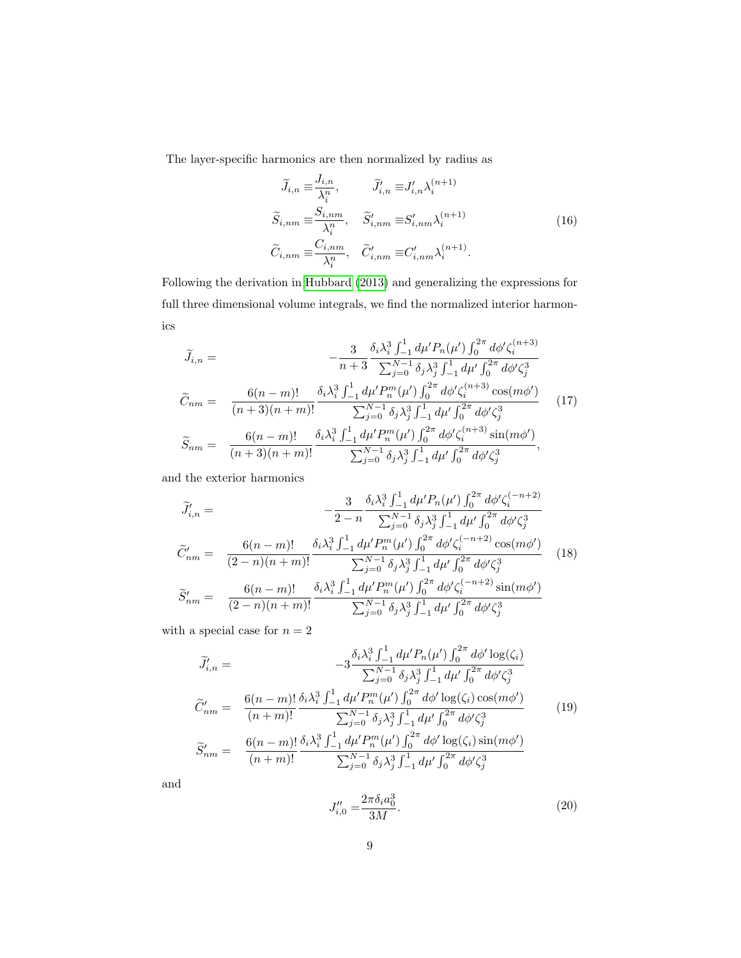The layer-specific harmonics are then normalized by radius as

$$
\widetilde{J}_{i,n} \equiv \frac{J_{i,n}}{\lambda_i^n}, \qquad \widetilde{J}'_{i,n} \equiv J'_{i,n} \lambda_i^{(n+1)}
$$
\n
$$
\widetilde{S}_{i,nm} \equiv \frac{S_{i,nm}}{\lambda_i^n}, \quad \widetilde{S}'_{i,nm} \equiv S'_{i,nm} \lambda_i^{(n+1)}
$$
\n
$$
\widetilde{C}_{i,nm} \equiv \frac{C_{i,nm}}{\lambda_i^n}, \quad \widetilde{C}'_{i,nm} \equiv C'_{i,nm} \lambda_i^{(n+1)}.
$$
\n(16)

Following the derivation in [Hubbard](#page-26-1) [\(2013\)](#page-26-1) and generalizing the expressions for full three dimensional volume integrals, we find the normalized interior harmonics

<span id="page-8-0"></span>
$$
\widetilde{J}_{i,n} = -\frac{3}{n+3} \frac{\delta_i \lambda_i^3 \int_{-1}^1 d\mu' P_n(\mu') \int_0^{2\pi} d\phi' \zeta_i^{(n+3)}}{\sum_{j=0}^{N-1} \delta_j \lambda_j^3 \int_{-1}^1 d\mu' \int_0^{2\pi} d\phi' \zeta_j^3}
$$
\n
$$
\widetilde{C}_{nm} = \frac{6(n-m)!}{(n+3)(n+m)!} \frac{\delta_i \lambda_i^3 \int_{-1}^1 d\mu' P_n^m(\mu') \int_0^{2\pi} d\phi' \zeta_i^{(n+3)} \cos(m\phi')}{\sum_{j=0}^{N-1} \delta_j \lambda_j^3 \int_{-1}^1 d\mu' \int_0^{2\pi} d\phi' \zeta_j^3}
$$
\n
$$
\widetilde{S}_{nm} = \frac{6(n-m)!}{(n+3)(n+m)!} \frac{\delta_i \lambda_i^3 \int_{-1}^1 d\mu' P_n^m(\mu') \int_0^{2\pi} d\phi' \zeta_i^{(n+3)} \sin(m\phi')}{\sum_{j=0}^{N-1} \delta_j \lambda_j^3 \int_{-1}^1 d\mu' \int_0^{2\pi} d\phi' \zeta_j^3},
$$
\n(17)

and the exterior harmonics

$$
\widetilde{J}'_{i,n} = -\frac{3}{2-n} \frac{\delta_i \lambda_i^3 \int_{-1}^1 d\mu' P_n(\mu') \int_0^{2\pi} d\phi' \zeta_i^{(-n+2)}}{\sum_{j=0}^{N-1} \delta_j \lambda_j^3 \int_{-1}^1 d\mu' \int_0^{2\pi} d\phi' \zeta_j^3}
$$
\n
$$
\widetilde{C}'_{nm} = \frac{6(n-m)!}{(2-n)(n+m)!} \frac{\delta_i \lambda_i^3 \int_{-1}^1 d\mu' P_n^m(\mu') \int_0^{2\pi} d\phi' \zeta_i^{(-n+2)} \cos(m\phi')}{\sum_{j=0}^{N-1} \delta_j \lambda_j^3 \int_{-1}^1 d\mu' \int_0^{2\pi} d\phi' \zeta_j^3}
$$
\n
$$
\widetilde{S}'_{nm} = \frac{6(n-m)!}{(2-n)(n+m)!} \frac{\delta_i \lambda_i^3 \int_{-1}^1 d\mu' P_n^m(\mu') \int_0^{2\pi} d\phi' \zeta_i^{(-n+2)} \sin(m\phi')}{\sum_{j=0}^{N-1} \delta_j \lambda_j^3 \int_{-1}^1 d\mu' \int_0^{2\pi} d\phi' \zeta_j^3}
$$
\n(18)

with a special case for  $n=2$ 

<span id="page-8-1"></span>
$$
\widetilde{J}'_{i,n} = -3 \frac{\delta_i \lambda_i^3 \int_{-1}^1 d\mu' P_n(\mu') \int_0^{2\pi} d\phi' \log(\zeta_i)}{\sum_{j=0}^{N-1} \delta_j \lambda_j^3 \int_{-1}^1 d\mu' \int_0^{2\pi} d\phi' \zeta_j^3}
$$
\n
$$
\widetilde{C}'_{nm} = \frac{6(n-m)!}{(n+m)!} \frac{\delta_i \lambda_i^3 \int_{-1}^1 d\mu' P_m^n(\mu') \int_0^{2\pi} d\phi' \log(\zeta_i) \cos(m\phi')}{\sum_{j=0}^{N-1} \delta_j \lambda_j^3 \int_{-1}^1 d\mu' \int_0^{2\pi} d\phi' \zeta_j^3}
$$
\n
$$
\widetilde{S}'_{nm} = \frac{6(n-m)!}{(n+m)!} \frac{\delta_i \lambda_i^3 \int_{-1}^1 d\mu' P_n^m(\mu') \int_0^{2\pi} d\phi' \log(\zeta_i) \sin(m\phi')}{\sum_{j=0}^{N-1} \delta_j \lambda_j^3 \int_{-1}^1 d\mu' \int_0^{2\pi} d\phi' \zeta_j^3}
$$
\n(19)

and

$$
J_{i,0}^{"'} = \frac{2\pi \delta_i a_0^3}{3M}.
$$
\n(20)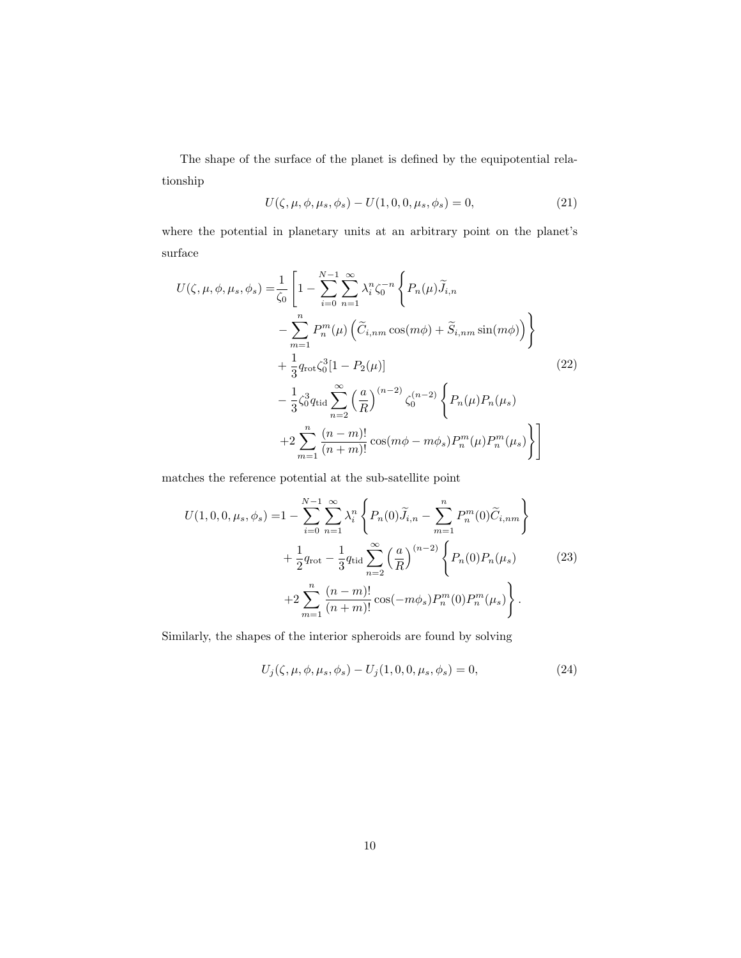<span id="page-9-0"></span>The shape of the surface of the planet is defined by the equipotential relationship

$$
U(\zeta, \mu, \phi, \mu_s, \phi_s) - U(1, 0, 0, \mu_s, \phi_s) = 0,
$$
\n(21)

where the potential in planetary units at an arbitrary point on the planet's surface

$$
U(\zeta, \mu, \phi, \mu_s, \phi_s) = \frac{1}{\zeta_0} \left[ 1 - \sum_{i=0}^{N-1} \sum_{n=1}^{\infty} \lambda_i^n \zeta_0^{-n} \left\{ P_n(\mu) \widetilde{J}_{i,n} - \sum_{m=1}^n P_n^m(\mu) \left( \widetilde{C}_{i,nm} \cos(m\phi) + \widetilde{S}_{i,nm} \sin(m\phi) \right) \right\} + \frac{1}{3} q_{\text{rot}} \zeta_0^3 [1 - P_2(\mu)] - \frac{1}{3} \zeta_0^3 q_{\text{tid}} \sum_{n=2}^{\infty} \left( \frac{a}{R} \right)^{(n-2)} \zeta_0^{(n-2)} \left\{ P_n(\mu) P_n(\mu_s) - 2 \sum_{m=1}^n \frac{(n-m)!}{(n+m)!} \cos(m\phi - m\phi_s) P_n^m(\mu) P_n^m(\mu_s) \right\} \right]
$$
(22)

matches the reference potential at the sub-satellite point

<span id="page-9-2"></span>
$$
U(1,0,0,\mu_s,\phi_s) = 1 - \sum_{i=0}^{N-1} \sum_{n=1}^{\infty} \lambda_i^n \left\{ P_n(0) \tilde{J}_{i,n} - \sum_{m=1}^n P_n^m(0) \tilde{C}_{i,nm} \right\} + \frac{1}{2} q_{\text{rot}} - \frac{1}{3} q_{\text{tid}} \sum_{n=2}^{\infty} \left( \frac{a}{R} \right)^{(n-2)} \left\{ P_n(0) P_n(\mu_s) \right\} + 2 \sum_{m=1}^n \frac{(n-m)!}{(n+m)!} \cos(-m\phi_s) P_n^m(0) P_n^m(\mu_s) \right\}.
$$
 (23)

Similarly, the shapes of the interior spheroids are found by solving

<span id="page-9-1"></span>
$$
U_j(\zeta, \mu, \phi, \mu_s, \phi_s) - U_j(1, 0, 0, \mu_s, \phi_s) = 0,
$$
\n(24)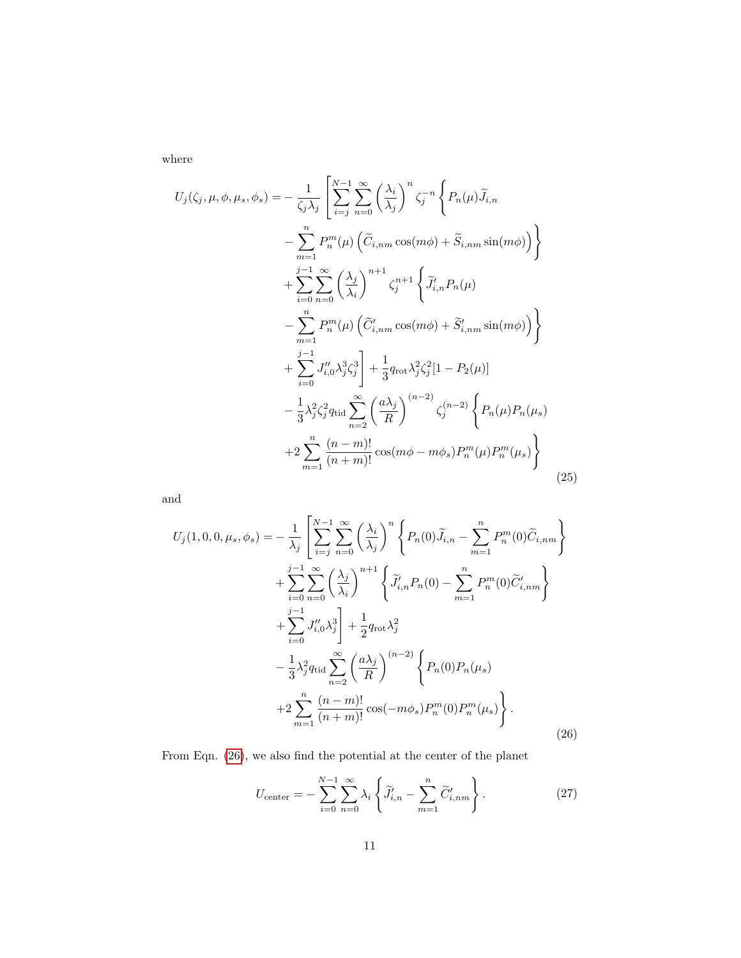where

$$
U_{j}(\zeta_{j}, \mu, \phi, \mu_{s}, \phi_{s}) = -\frac{1}{\zeta_{j} \lambda_{j}} \left[ \sum_{i=j}^{N-1} \sum_{n=0}^{\infty} \left( \frac{\lambda_{i}}{\lambda_{j}} \right)^{n} \zeta_{j}^{-n} \left\{ P_{n}(\mu) \widetilde{J}_{i,n} - \sum_{m=1}^{n} P_{n}^{m}(\mu) \left( \widetilde{C}_{i,nm} \cos(m\phi) + \widetilde{S}_{i,nm} \sin(m\phi) \right) \right\} + \sum_{i=0}^{j-1} \sum_{n=0}^{\infty} \left( \frac{\lambda_{j}}{\lambda_{i}} \right)^{n+1} \zeta_{j}^{-n+1} \left\{ \widetilde{J}_{i,n}' P_{n}(\mu) - \sum_{m=1}^{n} P_{n}^{m}(\mu) \left( \widetilde{C}_{i,nm}' \cos(m\phi) + \widetilde{S}_{i,nm}' \sin(m\phi) \right) \right\} + \sum_{i=0}^{j-1} J_{i,0}'' \lambda_{j}^{3} \zeta_{j}^{3} \right] + \frac{1}{3} q_{\text{rot}} \lambda_{j}^{2} \zeta_{j}^{2} [1 - P_{2}(\mu)] - \frac{1}{3} \lambda_{j}^{2} \zeta_{j}^{2} q_{\text{tid}} \sum_{n=2}^{\infty} \left( \frac{a \lambda_{j}}{R} \right)^{(n-2)} \zeta_{j}^{(n-2)} \left\{ P_{n}(\mu) P_{n}(\mu_{s}) \right. + 2 \sum_{m=1}^{n} \frac{(n-m)!}{(n+m)!} \cos(m\phi - m\phi_{s}) P_{n}^{m}(\mu) P_{n}^{m}(\mu_{s}) \right\}
$$
(25)

<span id="page-10-0"></span>and

$$
U_{j}(1,0,0,\mu_{s},\phi_{s}) = -\frac{1}{\lambda_{j}} \left[ \sum_{i=j}^{N-1} \sum_{n=0}^{\infty} \left( \frac{\lambda_{i}}{\lambda_{j}} \right)^{n} \left\{ P_{n}(0) \widetilde{J}_{i,n} - \sum_{m=1}^{n} P_{n}^{m}(0) \widetilde{C}_{i,nm} \right\} + \sum_{i=0}^{j-1} \sum_{n=0}^{\infty} \left( \frac{\lambda_{j}}{\lambda_{i}} \right)^{n+1} \left\{ \widetilde{J}'_{i,n} P_{n}(0) - \sum_{m=1}^{n} P_{n}^{m}(0) \widetilde{C}'_{i,nm} \right\} + \sum_{i=0}^{j-1} J''_{i,0} \lambda_{j}^{3} \right] + \frac{1}{2} q_{\text{rot}} \lambda_{j}^{2} - \frac{1}{3} \lambda_{j}^{2} q_{\text{tid}} \sum_{n=2}^{\infty} \left( \frac{a \lambda_{j}}{R} \right)^{(n-2)} \left\{ P_{n}(0) P_{n}(\mu_{s}) \right\} + 2 \sum_{m=1}^{n} \frac{(n-m)!}{(n+m)!} \cos(-m\phi_{s}) P_{n}^{m}(0) P_{n}^{m}(\mu_{s}) \right\}.
$$
\n(26)

From Eqn. [\(26\)](#page-10-0), we also find the potential at the center of the planet

<span id="page-10-1"></span>
$$
U_{\text{center}} = -\sum_{i=0}^{N-1} \sum_{n=0}^{\infty} \lambda_i \left\{ \widetilde{J}'_{i,n} - \sum_{m=1}^{n} \widetilde{C}'_{i,nm} \right\}.
$$
 (27)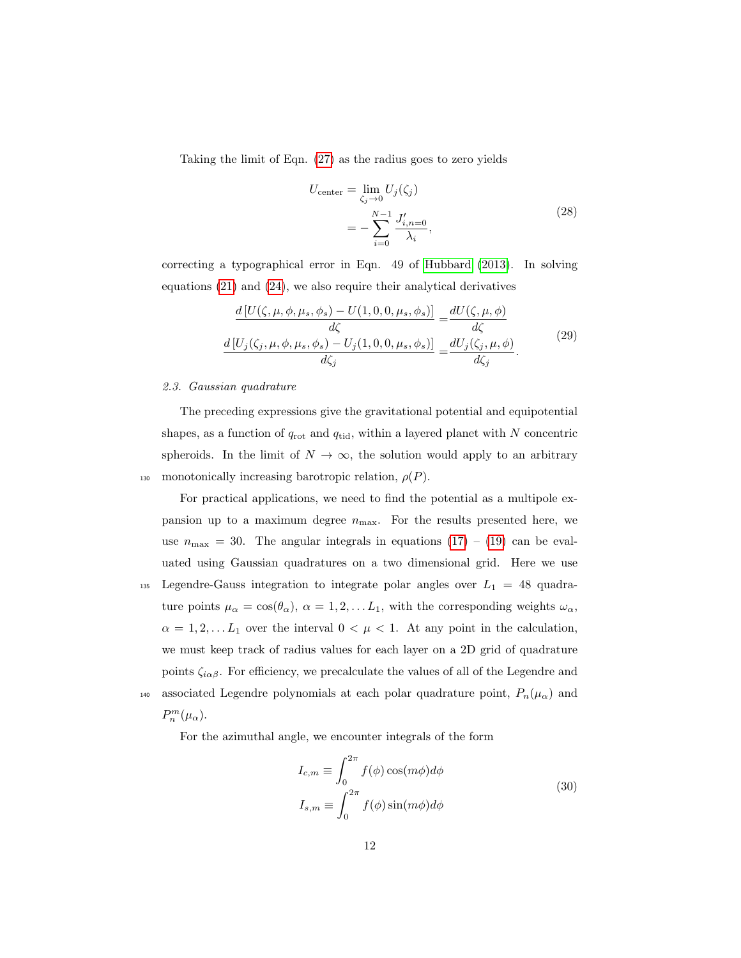Taking the limit of Eqn. [\(27\)](#page-10-1) as the radius goes to zero yields

<span id="page-11-1"></span>
$$
U_{\text{center}} = \lim_{\zeta_j \to 0} U_j(\zeta_j)
$$
  
= 
$$
-\sum_{i=0}^{N-1} \frac{J'_{i,n=0}}{\lambda_i},
$$
 (28)

correcting a typographical error in Eqn. 49 of [Hubbard](#page-26-1) [\(2013\)](#page-26-1). In solving equations [\(21\)](#page-9-0) and [\(24\)](#page-9-1), we also require their analytical derivatives

$$
\frac{d\left[U(\zeta,\mu,\phi,\mu_s,\phi_s) - U(1,0,0,\mu_s,\phi_s)\right]}{d\zeta} = \frac{dU(\zeta,\mu,\phi)}{d\zeta}
$$
\n
$$
\frac{d\left[U_j(\zeta_j,\mu,\phi,\mu_s,\phi_s) - U_j(1,0,0,\mu_s,\phi_s)\right]}{d\zeta_j} = \frac{dU_j(\zeta_j,\mu,\phi)}{d\zeta_j}.
$$
\n(29)

# 2.3. Gaussian quadrature

The preceding expressions give the gravitational potential and equipotential shapes, as a function of  $q_{\text{rot}}$  and  $q_{\text{tid}}$ , within a layered planet with N concentric spheroids. In the limit of  $N \to \infty$ , the solution would apply to an arbitrary 130 monotonically increasing barotropic relation,  $\rho(P)$ .

For practical applications, we need to find the potential as a multipole expansion up to a maximum degree  $n_{\text{max}}$ . For the results presented here, we use  $n_{\text{max}} = 30$ . The angular integrals in equations  $(17) - (19)$  $(17) - (19)$  $(17) - (19)$  can be evaluated using Gaussian quadratures on a two dimensional grid. Here we use 135 Legendre-Gauss integration to integrate polar angles over  $L_1 = 48$  quadrature points  $\mu_{\alpha} = \cos(\theta_{\alpha}), \ \alpha = 1, 2, \ldots L_1$ , with the corresponding weights  $\omega_{\alpha}$ ,  $\alpha = 1, 2, \dots L_1$  over the interval  $0 < \mu < 1$ . At any point in the calculation, we must keep track of radius values for each layer on a 2D grid of quadrature points  $\zeta_{i\alpha\beta}$ . For efficiency, we precalculate the values of all of the Legendre and 140 associated Legendre polynomials at each polar quadrature point,  $P_n(\mu_\alpha)$  and  $P_n^m(\mu_\alpha)$ .

For the azimuthal angle, we encounter integrals of the form

<span id="page-11-0"></span>
$$
I_{c,m} \equiv \int_0^{2\pi} f(\phi) \cos(m\phi) d\phi
$$
  

$$
I_{s,m} \equiv \int_0^{2\pi} f(\phi) \sin(m\phi) d\phi
$$
 (30)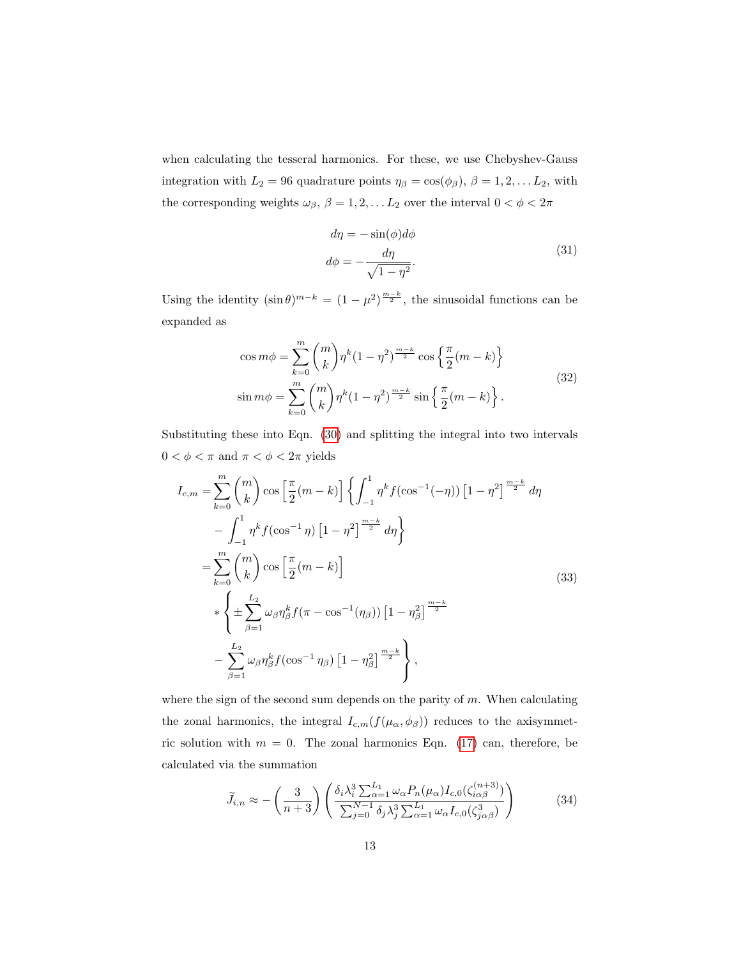when calculating the tesseral harmonics. For these, we use Chebyshev-Gauss integration with  $L_2 = 96$  quadrature points  $\eta_\beta = \cos(\phi_\beta), \beta = 1, 2, \dots L_2$ , with the corresponding weights  $\omega_\beta,\,\beta=1,2,\ldots L_2$  over the interval  $0<\phi<2\pi$ 

$$
d\eta = -\sin(\phi)d\phi
$$
  

$$
d\phi = -\frac{d\eta}{\sqrt{1-\eta^2}}.
$$
 (31)

Using the identity  $(\sin \theta)^{m-k} = (1 - \mu^2)^{\frac{m-k}{2}}$ , the sinusoidal functions can be expanded as

$$
\cos m\phi = \sum_{k=0}^{m} {m \choose k} \eta^{k} (1 - \eta^{2})^{\frac{m-k}{2}} \cos \left\{ \frac{\pi}{2} (m - k) \right\}
$$
  

$$
\sin m\phi = \sum_{k=0}^{m} {m \choose k} \eta^{k} (1 - \eta^{2})^{\frac{m-k}{2}} \sin \left\{ \frac{\pi}{2} (m - k) \right\}.
$$
 (32)

Substituting these into Eqn. [\(30\)](#page-11-0) and splitting the integral into two intervals  $0<\phi<\pi$  and  $\pi<\phi<2\pi$  yields

$$
I_{c,m} = \sum_{k=0}^{m} {m \choose k} \cos \left[ \frac{\pi}{2} (m-k) \right] \left\{ \int_{-1}^{1} \eta^k f(\cos^{-1}(-\eta)) \left[ 1 - \eta^2 \right]^{\frac{m-k}{2}} d\eta \right\}
$$
  

$$
- \int_{-1}^{1} \eta^k f(\cos^{-1} \eta) \left[ 1 - \eta^2 \right]^{\frac{m-k}{2}} d\eta \right\}
$$
  

$$
= \sum_{k=0}^{m} {m \choose k} \cos \left[ \frac{\pi}{2} (m-k) \right]
$$
  

$$
* \left\{ \pm \sum_{\beta=1}^{L_2} \omega_{\beta} \eta_{\beta}^k f(\pi - \cos^{-1}(\eta_{\beta})) \left[ 1 - \eta_{\beta}^2 \right]^{\frac{m-k}{2}}
$$
  

$$
- \sum_{\beta=1}^{L_2} \omega_{\beta} \eta_{\beta}^k f(\cos^{-1} \eta_{\beta}) \left[ 1 - \eta_{\beta}^2 \right]^{\frac{m-k}{2}} \right\},
$$
  
(33)

where the sign of the second sum depends on the parity of  $m$ . When calculating the zonal harmonics, the integral  $I_{c,m}(f(\mu_{\alpha}, \phi_{\beta}))$  reduces to the axisymmetric solution with  $m = 0$ . The zonal harmonics Eqn. [\(17\)](#page-8-0) can, therefore, be calculated via the summation

$$
\widetilde{J}_{i,n} \approx -\left(\frac{3}{n+3}\right) \left(\frac{\delta_i \lambda_i^3 \sum_{\alpha=1}^{L_1} \omega_\alpha P_n(\mu_\alpha) I_{c,0}(\zeta_{i\alpha\beta}^{(n+3)})}{\sum_{j=0}^{N-1} \delta_j \lambda_j^3 \sum_{\alpha=1}^{L_1} \omega_\alpha I_{c,0}(\zeta_{j\alpha\beta}^3)}\right) \tag{34}
$$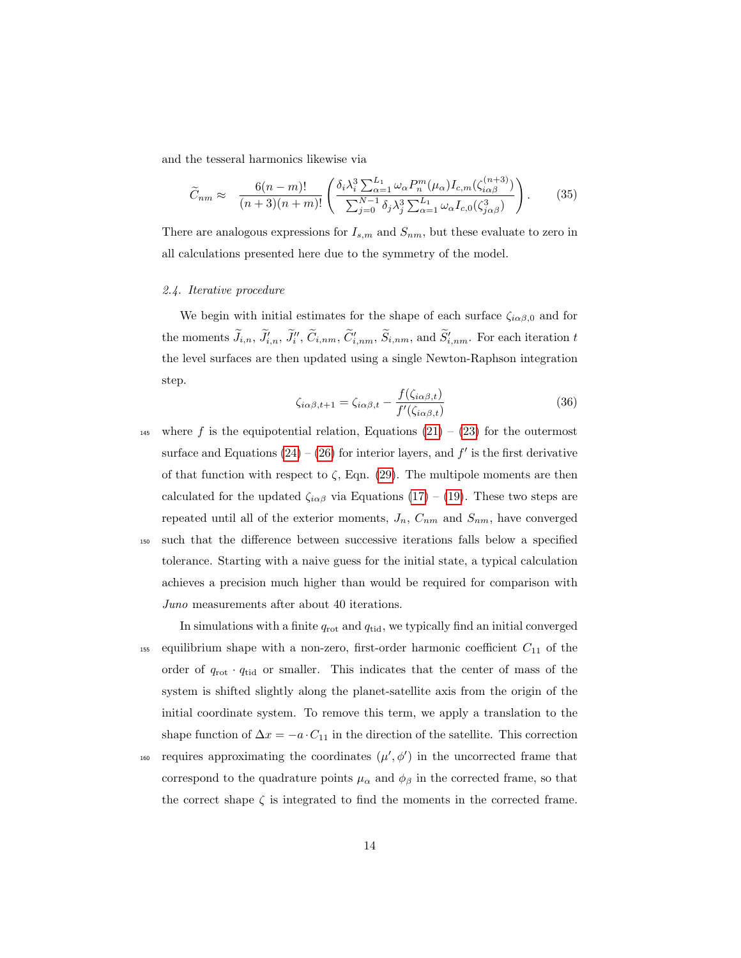and the tesseral harmonics likewise via

$$
\widetilde{C}_{nm} \approx \frac{6(n-m)!}{(n+3)(n+m)!} \left( \frac{\delta_i \lambda_i^3 \sum_{\alpha=1}^{L_1} \omega_\alpha P_n^m(\mu_\alpha) I_{c,m}(\zeta_{i\alpha\beta}^{(n+3)})}{\sum_{j=0}^{N-1} \delta_j \lambda_j^3 \sum_{\alpha=1}^{L_1} \omega_\alpha I_{c,0}(\zeta_{j\alpha\beta}^3)} \right). \tag{35}
$$

There are analogous expressions for  $I_{s,m}$  and  $S_{nm}$ , but these evaluate to zero in all calculations presented here due to the symmetry of the model.

#### 2.4. Iterative procedure

We begin with initial estimates for the shape of each surface  $\zeta_{i\alpha\beta,0}$  and for the moments  $\tilde{J}_{i,n}$ ,  $\tilde{J}'_{i,n}$ ,  $\tilde{J}'_i$ ,  $\tilde{C}_{i,nm}$ ,  $\tilde{C}'_{i,nm}$ ,  $\tilde{S}_{i,nm}$ , and  $\tilde{S}'_{i,nm}$ . For each iteration t the level surfaces are then updated using a single Newton-Raphson integration step.

$$
\zeta_{i\alpha\beta,t+1} = \zeta_{i\alpha\beta,t} - \frac{f(\zeta_{i\alpha\beta,t})}{f'(\zeta_{i\alpha\beta,t})}
$$
(36)

145 where f is the equipotential relation, Equations  $(21) - (23)$  $(21) - (23)$  $(21) - (23)$  for the outermost surface and Equations  $(24) - (26)$  $(24) - (26)$  $(24) - (26)$  for interior layers, and  $f'$  is the first derivative of that function with respect to  $\zeta$ , Eqn. [\(29\)](#page-11-1). The multipole moments are then calculated for the updated  $\zeta_{i\alpha\beta}$  via Equations [\(17\)](#page-8-0) – [\(19\)](#page-8-1). These two steps are repeated until all of the exterior moments,  $J_n$ ,  $C_{nm}$  and  $S_{nm}$ , have converged <sup>150</sup> such that the difference between successive iterations falls below a specified tolerance. Starting with a naive guess for the initial state, a typical calculation achieves a precision much higher than would be required for comparison with Juno measurements after about 40 iterations.

In simulations with a finite  $q_{\text{rot}}$  and  $q_{\text{tid}}$ , we typically find an initial converged <sup>155</sup> equilibrium shape with a non-zero, first-order harmonic coefficient  $C_{11}$  of the order of  $q_{\text{rot}} \cdot q_{\text{tid}}$  or smaller. This indicates that the center of mass of the system is shifted slightly along the planet-satellite axis from the origin of the initial coordinate system. To remove this term, we apply a translation to the shape function of  $\Delta x = -a \cdot C_{11}$  in the direction of the satellite. This correction

160 requires approximating the coordinates  $(\mu', \phi')$  in the uncorrected frame that correspond to the quadrature points  $\mu_{\alpha}$  and  $\phi_{\beta}$  in the corrected frame, so that the correct shape  $\zeta$  is integrated to find the moments in the corrected frame.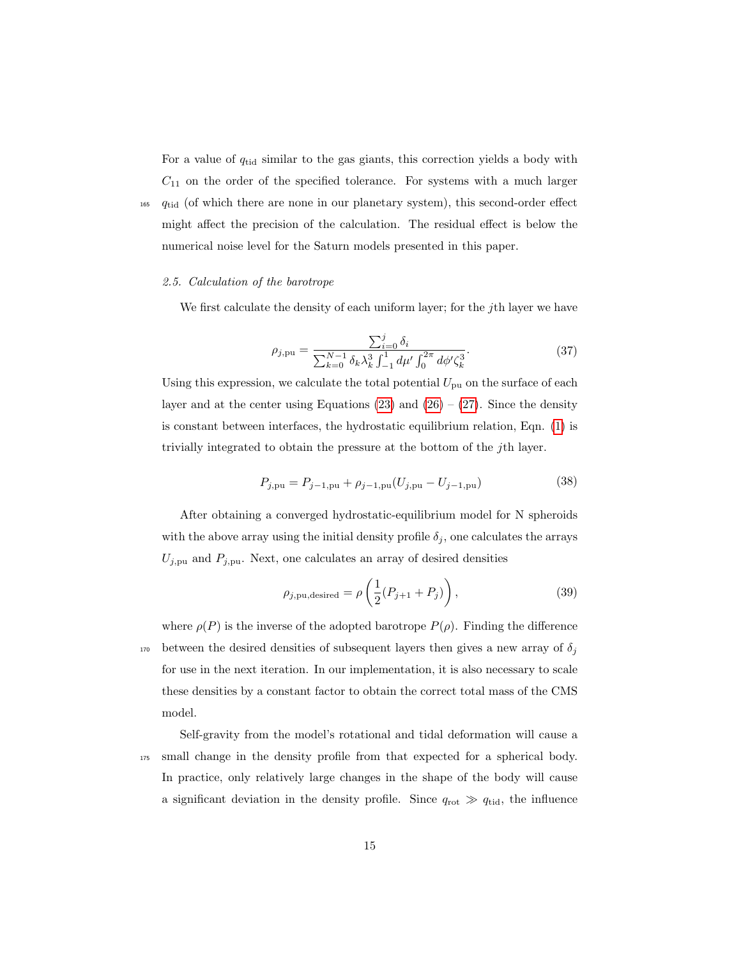For a value of  $q_{tid}$  similar to the gas giants, this correction yields a body with  $C_{11}$  on the order of the specified tolerance. For systems with a much larger  $_{165}$   $q_{tid}$  (of which there are none in our planetary system), this second-order effect might affect the precision of the calculation. The residual effect is below the numerical noise level for the Saturn models presented in this paper.

## <span id="page-14-1"></span>2.5. Calculation of the barotrope

We first calculate the density of each uniform layer; for the *j*th layer we have

$$
\rho_{j, \text{pu}} = \frac{\sum_{i=0}^{j} \delta_i}{\sum_{k=0}^{N-1} \delta_k \lambda_k^3 \int_{-1}^1 d\mu' \int_0^{2\pi} d\phi' \zeta_k^3}.
$$
(37)

Using this expression, we calculate the total potential  $U_{\text{pu}}$  on the surface of each layer and at the center using Equations [\(23\)](#page-9-2) and [\(26\)](#page-10-0) – [\(27\)](#page-10-1). Since the density is constant between interfaces, the hydrostatic equilibrium relation, Eqn. [\(1\)](#page-4-0) is trivially integrated to obtain the pressure at the bottom of the jth layer.

$$
P_{j,pu} = P_{j-1,pu} + \rho_{j-1,pu}(U_{j,pu} - U_{j-1,pu})
$$
\n(38)

After obtaining a converged hydrostatic-equilibrium model for N spheroids with the above array using the initial density profile  $\delta_j$ , one calculates the arrays  $U_{j,pu}$  and  $P_{j,pu}$ . Next, one calculates an array of desired densities

<span id="page-14-0"></span>
$$
\rho_{j, \text{pu,desired}} = \rho \left( \frac{1}{2} (P_{j+1} + P_j) \right), \tag{39}
$$

where  $\rho(P)$  is the inverse of the adopted barotrope  $P(\rho)$ . Finding the difference <sup>170</sup> between the desired densities of subsequent layers then gives a new array of  $\delta_j$ for use in the next iteration. In our implementation, it is also necessary to scale these densities by a constant factor to obtain the correct total mass of the CMS model.

Self-gravity from the model's rotational and tidal deformation will cause a <sup>175</sup> small change in the density profile from that expected for a spherical body. In practice, only relatively large changes in the shape of the body will cause a significant deviation in the density profile. Since  $q_{\text{rot}} \gg q_{\text{tid}}$ , the influence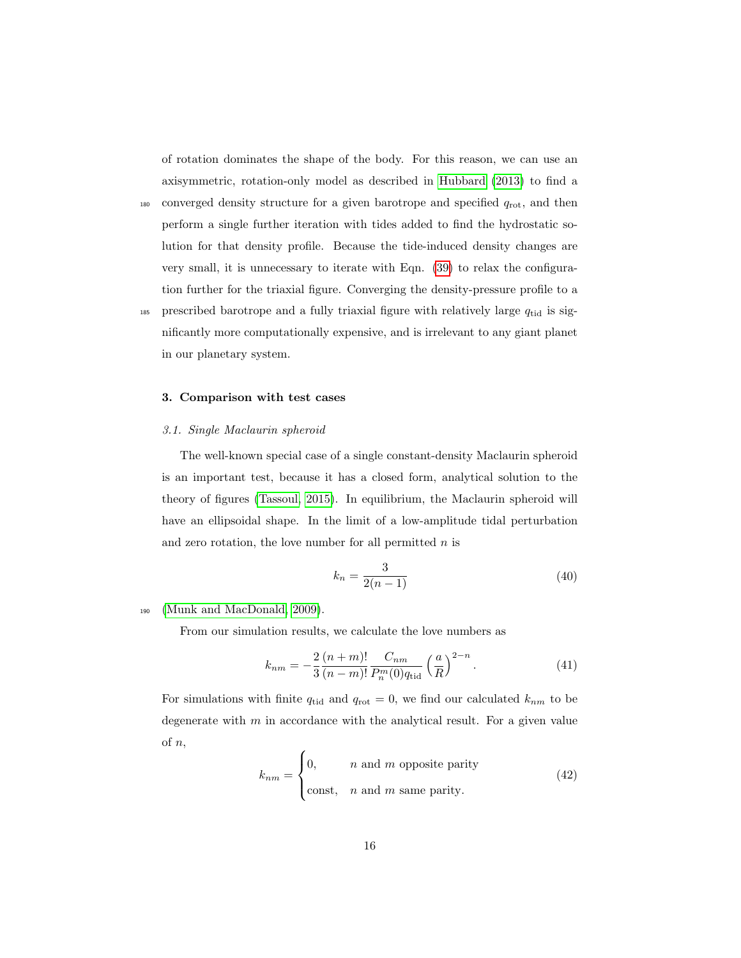of rotation dominates the shape of the body. For this reason, we can use an axisymmetric, rotation-only model as described in [Hubbard](#page-26-1) [\(2013\)](#page-26-1) to find a

- $_{180}$  converged density structure for a given barotrope and specified  $q_{\text{rot}}$ , and then perform a single further iteration with tides added to find the hydrostatic solution for that density profile. Because the tide-induced density changes are very small, it is unnecessary to iterate with Eqn. [\(39\)](#page-14-0) to relax the configuration further for the triaxial figure. Converging the density-pressure profile to a
- 185 prescribed barotrope and a fully triaxial figure with relatively large  $q_{tid}$  is significantly more computationally expensive, and is irrelevant to any giant planet in our planetary system.

## 3. Comparison with test cases

## <span id="page-15-3"></span>3.1. Single Maclaurin spheroid

The well-known special case of a single constant-density Maclaurin spheroid is an important test, because it has a closed form, analytical solution to the theory of figures [\(Tassoul, 2015\)](#page-27-3). In equilibrium, the Maclaurin spheroid will have an ellipsoidal shape. In the limit of a low-amplitude tidal perturbation and zero rotation, the love number for all permitted  $n$  is

<span id="page-15-1"></span><span id="page-15-0"></span>
$$
k_n = \frac{3}{2(n-1)}
$$
\n(40)

#### <sup>190</sup> [\(Munk and MacDonald, 2009\)](#page-27-4).

From our simulation results, we calculate the love numbers as

$$
k_{nm} = -\frac{2}{3} \frac{(n+m)!}{(n-m)!} \frac{C_{nm}}{P_n^m(0)q_{\text{tid}}}\left(\frac{a}{R}\right)^{2-n}.
$$
 (41)

<span id="page-15-2"></span>For simulations with finite  $q_{tid}$  and  $q_{rot} = 0$ , we find our calculated  $k_{nm}$  to be degenerate with  $m$  in accordance with the analytical result. For a given value of n,

$$
k_{nm} = \begin{cases} 0, & n \text{ and } m \text{ opposite parity} \\ \text{const}, & n \text{ and } m \text{ same parity.} \end{cases}
$$
 (42)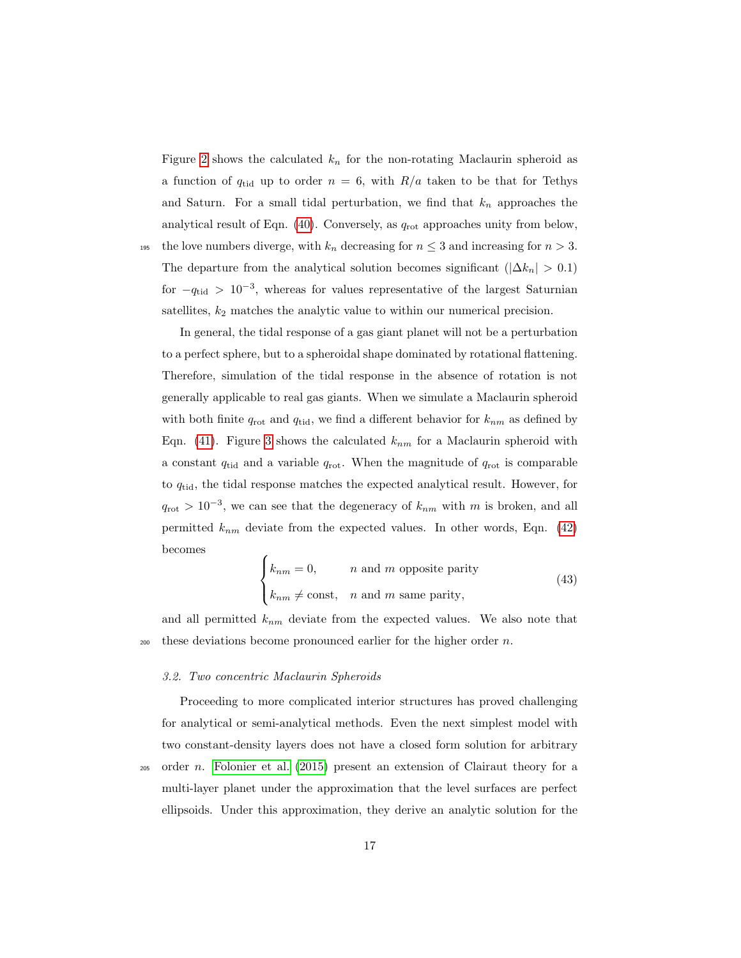Figure [2](#page-32-0) shows the calculated  $k_n$  for the non-rotating Maclaurin spheroid as a function of  $q_{tid}$  up to order  $n = 6$ , with  $R/a$  taken to be that for Tethys and Saturn. For a small tidal perturbation, we find that  $k_n$  approaches the analytical result of Eqn.  $(40)$ . Conversely, as  $q_{\text{rot}}$  approaches unity from below, 195 the love numbers diverge, with  $k_n$  decreasing for  $n \leq 3$  and increasing for  $n > 3$ . The departure from the analytical solution becomes significant ( $|\Delta k_n| > 0.1$ ) for  $-q_{tid} > 10^{-3}$ , whereas for values representative of the largest Saturnian

satellites,  $k_2$  matches the analytic value to within our numerical precision.

In general, the tidal response of a gas giant planet will not be a perturbation to a perfect sphere, but to a spheroidal shape dominated by rotational flattening. Therefore, simulation of the tidal response in the absence of rotation is not generally applicable to real gas giants. When we simulate a Maclaurin spheroid with both finite  $q_{\text{rot}}$  and  $q_{\text{tid}}$ , we find a different behavior for  $k_{nm}$  as defined by Eqn. [\(41\)](#page-15-1). Figure [3](#page-33-0) shows the calculated  $k_{nm}$  for a Maclaurin spheroid with a constant  $q_{tid}$  and a variable  $q_{rot}$ . When the magnitude of  $q_{rot}$  is comparable to  $q_{tid}$ , the tidal response matches the expected analytical result. However, for  $q_{\rm rot} > 10^{-3}$ , we can see that the degeneracy of  $k_{nm}$  with m is broken, and all permitted  $k_{nm}$  deviate from the expected values. In other words, Eqn. [\(42\)](#page-15-2) becomes

<span id="page-16-0"></span>
$$
\begin{cases}\nk_{nm} = 0, & n \text{ and } m \text{ opposite parity} \\
k_{nm} \neq \text{const}, & n \text{ and } m \text{ same parity},\n\end{cases}
$$
\n(43)

and all permitted  $k_{nm}$  deviate from the expected values. We also note that  $200$  these deviations become pronounced earlier for the higher order n.

## 3.2. Two concentric Maclaurin Spheroids

Proceeding to more complicated interior structures has proved challenging for analytical or semi-analytical methods. Even the next simplest model with two constant-density layers does not have a closed form solution for arbitrary  $_{205}$  order *n*. [Folonier et al.](#page-25-2) [\(2015\)](#page-25-2) present an extension of Clairaut theory for a multi-layer planet under the approximation that the level surfaces are perfect

ellipsoids. Under this approximation, they derive an analytic solution for the

17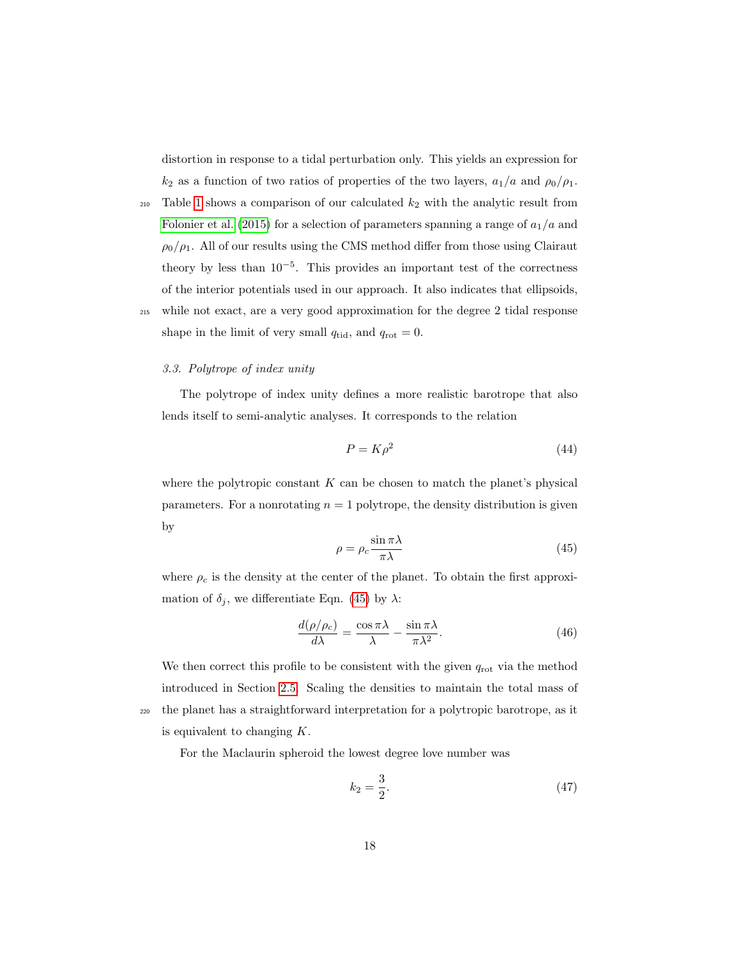distortion in response to a tidal perturbation only. This yields an expression for  $k_2$  as a function of two ratios of properties of the two layers,  $a_1/a$  and  $\rho_0/\rho_1$ .

- 210 Table [1](#page-29-0) shows a comparison of our calculated  $k_2$  with the analytic result from [Folonier et al.](#page-25-2) [\(2015\)](#page-25-2) for a selection of parameters spanning a range of  $a_1/a$  and  $\rho_0/\rho_1$ . All of our results using the CMS method differ from those using Clairaut theory by less than  $10^{-5}$ . This provides an important test of the correctness of the interior potentials used in our approach. It also indicates that ellipsoids,
- <sup>215</sup> while not exact, are a very good approximation for the degree 2 tidal response shape in the limit of very small  $q_{tid}$ , and  $q_{rot} = 0$ .

# <span id="page-17-2"></span>3.3. Polytrope of index unity

The polytrope of index unity defines a more realistic barotrope that also lends itself to semi-analytic analyses. It corresponds to the relation

<span id="page-17-1"></span>
$$
P = K\rho^2 \tag{44}
$$

<span id="page-17-0"></span>where the polytropic constant  $K$  can be chosen to match the planet's physical parameters. For a nonrotating  $n = 1$  polytrope, the density distribution is given by

$$
\rho = \rho_c \frac{\sin \pi \lambda}{\pi \lambda} \tag{45}
$$

where  $\rho_c$  is the density at the center of the planet. To obtain the first approximation of  $\delta_j$ , we differentiate Eqn. [\(45\)](#page-17-0) by  $\lambda$ :

$$
\frac{d(\rho/\rho_c)}{d\lambda} = \frac{\cos \pi \lambda}{\lambda} - \frac{\sin \pi \lambda}{\pi \lambda^2}.
$$
 (46)

We then correct this profile to be consistent with the given  $q_{\text{rot}}$  via the method introduced in Section [2.5.](#page-14-1) Scaling the densities to maintain the total mass of <sup>220</sup> the planet has a straightforward interpretation for a polytropic barotrope, as it is equivalent to changing K.

For the Maclaurin spheroid the lowest degree love number was

$$
k_2 = \frac{3}{2}.\t(47)
$$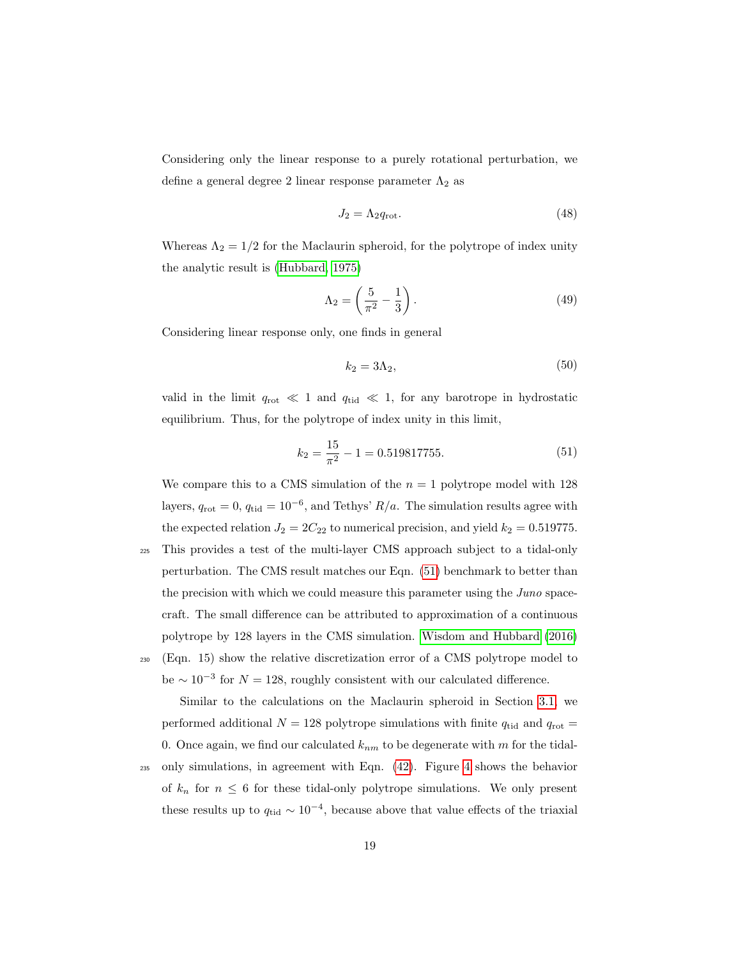Considering only the linear response to a purely rotational perturbation, we define a general degree 2 linear response parameter  $\Lambda_2$  as

$$
J_2 = \Lambda_2 q_{\rm rot}.\tag{48}
$$

Whereas  $\Lambda_2 = 1/2$  for the Maclaurin spheroid, for the polytrope of index unity the analytic result is [\(Hubbard, 1975\)](#page-26-4)

$$
\Lambda_2 = \left(\frac{5}{\pi^2} - \frac{1}{3}\right). \tag{49}
$$

Considering linear response only, one finds in general

<span id="page-18-1"></span><span id="page-18-0"></span>
$$
k_2 = 3\Lambda_2,\tag{50}
$$

valid in the limit  $q_{\text{rot}} \ll 1$  and  $q_{\text{tid}} \ll 1$ , for any barotrope in hydrostatic equilibrium. Thus, for the polytrope of index unity in this limit,

$$
k_2 = \frac{15}{\pi^2} - 1 = 0.519817755. \tag{51}
$$

We compare this to a CMS simulation of the  $n = 1$  polytrope model with 128 layers,  $q_{\text{rot}} = 0$ ,  $q_{\text{tid}} = 10^{-6}$ , and Tethys'  $R/a$ . The simulation results agree with the expected relation  $J_2 = 2C_{22}$  to numerical precision, and yield  $k_2 = 0.519775$ .

- <sup>225</sup> This provides a test of the multi-layer CMS approach subject to a tidal-only perturbation. The CMS result matches our Eqn. [\(51\)](#page-18-0) benchmark to better than the precision with which we could measure this parameter using the *Juno* spacecraft. The small difference can be attributed to approximation of a continuous polytrope by 128 layers in the CMS simulation. [Wisdom and Hubbard](#page-28-1) [\(2016\)](#page-28-1) <sup>230</sup> (Eqn. 15) show the relative discretization error of a CMS polytrope model to
- be  $\sim 10^{-3}$  for  $N = 128$ , roughly consistent with our calculated difference.

Similar to the calculations on the Maclaurin spheroid in Section [3.1,](#page-15-3) we performed additional  $N = 128$  polytrope simulations with finite  $q_{tid}$  and  $q_{rot} =$ 0. Once again, we find our calculated  $k_{nm}$  to be degenerate with m for the tidal-

<sup>235</sup> only simulations, in agreement with Eqn. [\(42\)](#page-15-2). Figure [4](#page-34-0) shows the behavior of  $k_n$  for  $n \leq 6$  for these tidal-only polytrope simulations. We only present these results up to  $q_{tid} \sim 10^{-4}$ , because above that value effects of the triaxial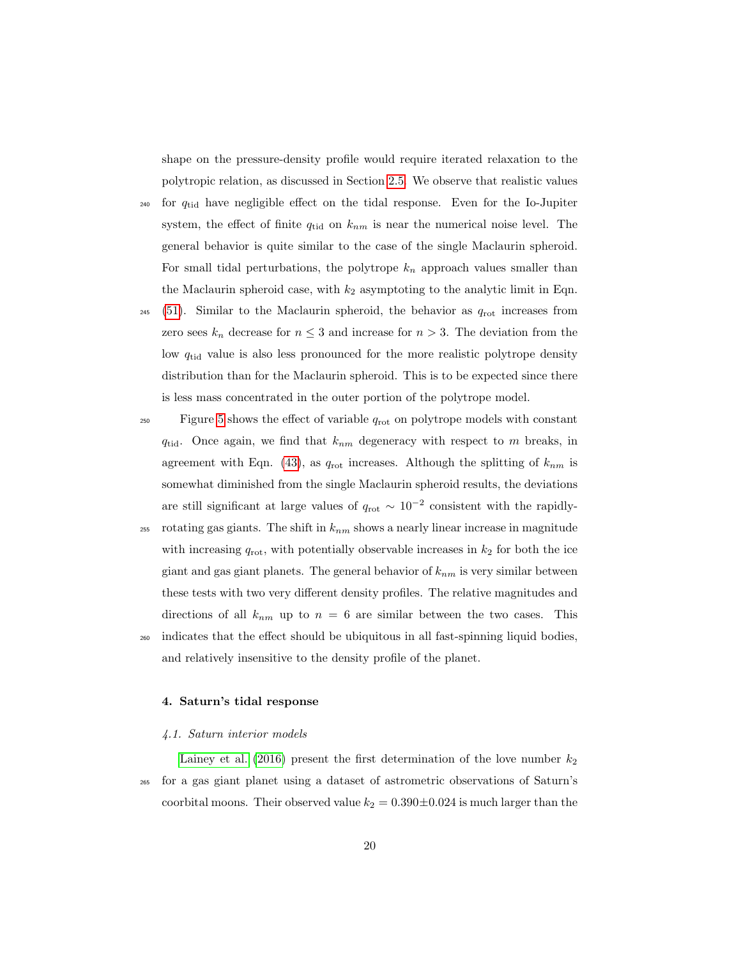shape on the pressure-density profile would require iterated relaxation to the polytropic relation, as discussed in Section [2.5.](#page-14-1) We observe that realistic values

- <sup>240</sup> for  $q_{tid}$  have negligible effect on the tidal response. Even for the Io-Jupiter system, the effect of finite  $q_{tid}$  on  $k_{nm}$  is near the numerical noise level. The general behavior is quite similar to the case of the single Maclaurin spheroid. For small tidal perturbations, the polytrope  $k_n$  approach values smaller than the Maclaurin spheroid case, with  $k_2$  asymptoting to the analytic limit in Eqn.
- $_{245}$  [\(51\)](#page-18-0). Similar to the Maclaurin spheroid, the behavior as  $q_{\text{rot}}$  increases from zero sees  $k_n$  decrease for  $n \leq 3$  and increase for  $n > 3$ . The deviation from the low  $q_{tid}$  value is also less pronounced for the more realistic polytrope density distribution than for the Maclaurin spheroid. This is to be expected since there is less mass concentrated in the outer portion of the polytrope model.
- $F_{250}$  Figure [5](#page-35-0) shows the effect of variable  $q_{\text{rot}}$  on polytrope models with constant  $q_{tid}$ . Once again, we find that  $k_{nm}$  degeneracy with respect to m breaks, in agreement with Eqn. [\(43\)](#page-16-0), as  $q_{\text{rot}}$  increases. Although the splitting of  $k_{nm}$  is somewhat diminished from the single Maclaurin spheroid results, the deviations are still significant at large values of  $q_{\text{rot}} \sim 10^{-2}$  consistent with the rapidly-
- 255 rotating gas giants. The shift in  $k_{nm}$  shows a nearly linear increase in magnitude with increasing  $q_{\text{rot}}$ , with potentially observable increases in  $k_2$  for both the ice giant and gas giant planets. The general behavior of  $k_{nm}$  is very similar between these tests with two very different density profiles. The relative magnitudes and directions of all  $k_{nm}$  up to  $n = 6$  are similar between the two cases. This <sup>260</sup> indicates that the effect should be ubiquitous in all fast-spinning liquid bodies, and relatively insensitive to the density profile of the planet.

#### 4. Saturn's tidal response

#### 4.1. Saturn interior models

[Lainey et al.](#page-27-0) [\(2016\)](#page-27-0) present the first determination of the love number  $k_2$ <sup>265</sup> for a gas giant planet using a dataset of astrometric observations of Saturn's coorbital moons. Their observed value  $k_2 = 0.390 \pm 0.024$  is much larger than the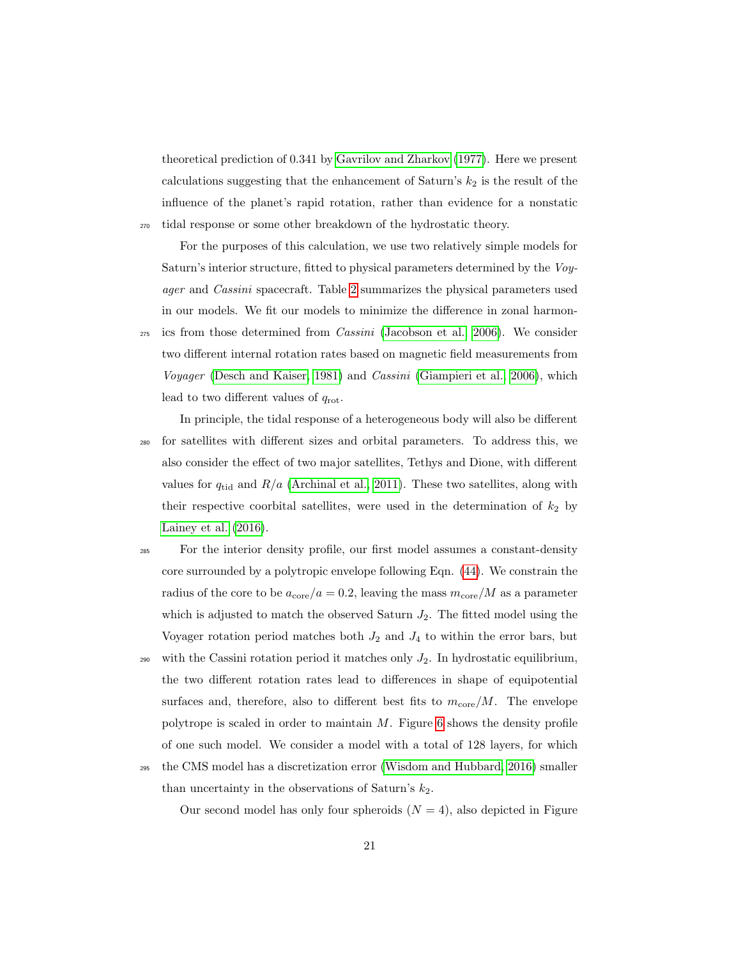theoretical prediction of 0.341 by [Gavrilov and Zharkov](#page-25-1) [\(1977\)](#page-25-1). Here we present calculations suggesting that the enhancement of Saturn's  $k_2$  is the result of the influence of the planet's rapid rotation, rather than evidence for a nonstatic <sup>270</sup> tidal response or some other breakdown of the hydrostatic theory.

For the purposes of this calculation, we use two relatively simple models for Saturn's interior structure, fitted to physical parameters determined by the Voyager and Cassini spacecraft. Table [2](#page-30-0) summarizes the physical parameters used in our models. We fit our models to minimize the difference in zonal harmon-

- $_{275}$  ics from those determined from *Cassini* [\(Jacobson et al., 2006\)](#page-26-5). We consider two different internal rotation rates based on magnetic field measurements from Voyager [\(Desch and Kaiser, 1981\)](#page-25-3) and *Cassini* [\(Giampieri et al., 2006\)](#page-25-4), which lead to two different values of  $q_{\text{rot}}$ .
- In principle, the tidal response of a heterogeneous body will also be different <sup>280</sup> for satellites with different sizes and orbital parameters. To address this, we also consider the effect of two major satellites, Tethys and Dione, with different values for  $q_{tid}$  and  $R/a$  [\(Archinal et al., 2011\)](#page-25-5). These two satellites, along with their respective coorbital satellites, were used in the determination of  $k_2$  by [Lainey et al.](#page-27-0) [\(2016\)](#page-27-0).
- <sup>285</sup> For the interior density profile, our first model assumes a constant-density core surrounded by a polytropic envelope following Eqn. [\(44\)](#page-17-1). We constrain the radius of the core to be  $a_{\text{core}}/a = 0.2$ , leaving the mass  $m_{\text{core}}/M$  as a parameter which is adjusted to match the observed Saturn  $J_2$ . The fitted model using the Voyager rotation period matches both  $J_2$  and  $J_4$  to within the error bars, but
- 290 with the Cassini rotation period it matches only  $J_2$ . In hydrostatic equilibrium, the two different rotation rates lead to differences in shape of equipotential surfaces and, therefore, also to different best fits to  $m_{\text{core}}/M$ . The envelope polytrope is scaled in order to maintain  $M$ . Figure [6](#page-36-0) shows the density profile of one such model. We consider a model with a total of 128 layers, for which
- <sup>295</sup> the CMS model has a discretization error [\(Wisdom and Hubbard, 2016\)](#page-28-1) smaller than uncertainty in the observations of Saturn's  $k_2$ .

Our second model has only four spheroids  $(N = 4)$ , also depicted in Figure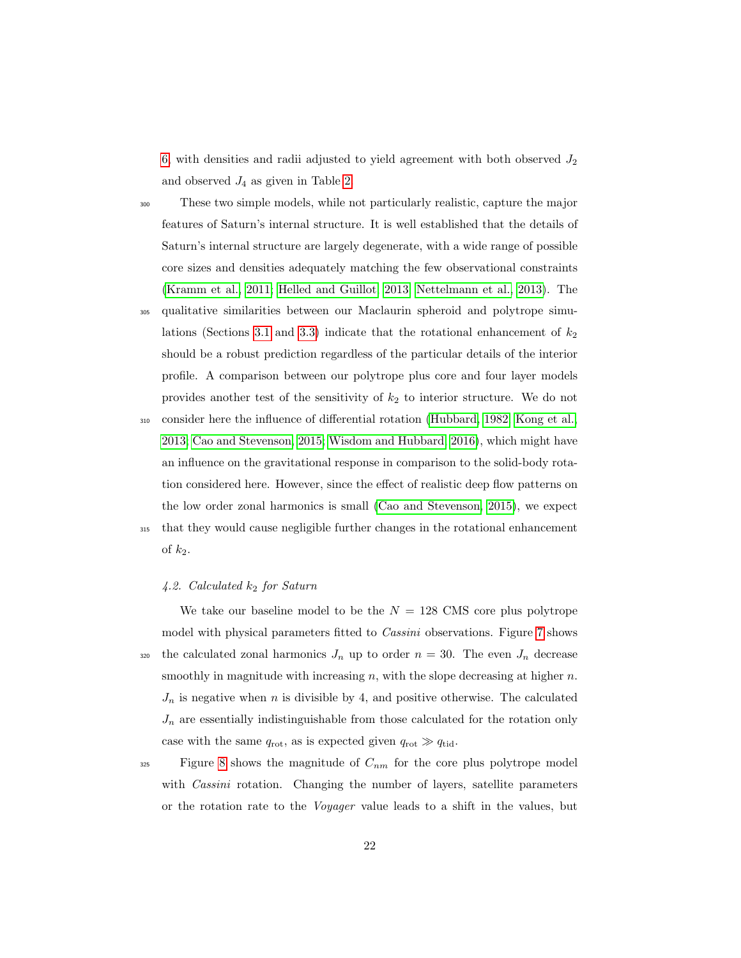[6,](#page-36-0) with densities and radii adjusted to yield agreement with both observed  $J_2$ and observed  $J_4$  as given in Table [2.](#page-30-0)

<sup>300</sup> These two simple models, while not particularly realistic, capture the major features of Saturn's internal structure. It is well established that the details of Saturn's internal structure are largely degenerate, with a wide range of possible core sizes and densities adequately matching the few observational constraints [\(Kramm et al., 2011;](#page-27-5) [Helled and Guillot, 2013;](#page-25-6) [Nettelmann et al., 2013\)](#page-27-6). The

<sup>305</sup> qualitative similarities between our Maclaurin spheroid and polytrope simu-lations (Sections [3.1](#page-15-3) and [3.3\)](#page-17-2) indicate that the rotational enhancement of  $k_2$ should be a robust prediction regardless of the particular details of the interior profile. A comparison between our polytrope plus core and four layer models provides another test of the sensitivity of  $k_2$  to interior structure. We do not

<sup>310</sup> consider here the influence of differential rotation [\(Hubbard, 1982;](#page-26-6) [Kong et al.,](#page-27-7) [2013;](#page-27-7) [Cao and Stevenson, 2015;](#page-25-0) [Wisdom and Hubbard, 2016\)](#page-28-1), which might have an influence on the gravitational response in comparison to the solid-body rotation considered here. However, since the effect of realistic deep flow patterns on the low order zonal harmonics is small [\(Cao and Stevenson, 2015\)](#page-25-0), we expect <sup>315</sup> that they would cause negligible further changes in the rotational enhancement

# of  $k_2$ .

# 4.2. Calculated  $k_2$  for Saturn

We take our baseline model to be the  $N = 128$  CMS core plus polytrope model with physical parameters fitted to Cassini observations. Figure [7](#page-37-0) shows 320 the calculated zonal harmonics  $J_n$  up to order  $n = 30$ . The even  $J_n$  decrease smoothly in magnitude with increasing  $n$ , with the slope decreasing at higher  $n$ .  $J_n$  is negative when n is divisible by 4, and positive otherwise. The calculated  $J_n$  are essentially indistinguishable from those calculated for the rotation only case with the same  $q_{\text{rot}}$ , as is expected given  $q_{\text{rot}} \gg q_{\text{tid}}$ .

 $325$  Figure [8](#page-38-0) shows the magnitude of  $C_{nm}$  for the core plus polytrope model with *Cassini* rotation. Changing the number of layers, satellite parameters or the rotation rate to the Voyager value leads to a shift in the values, but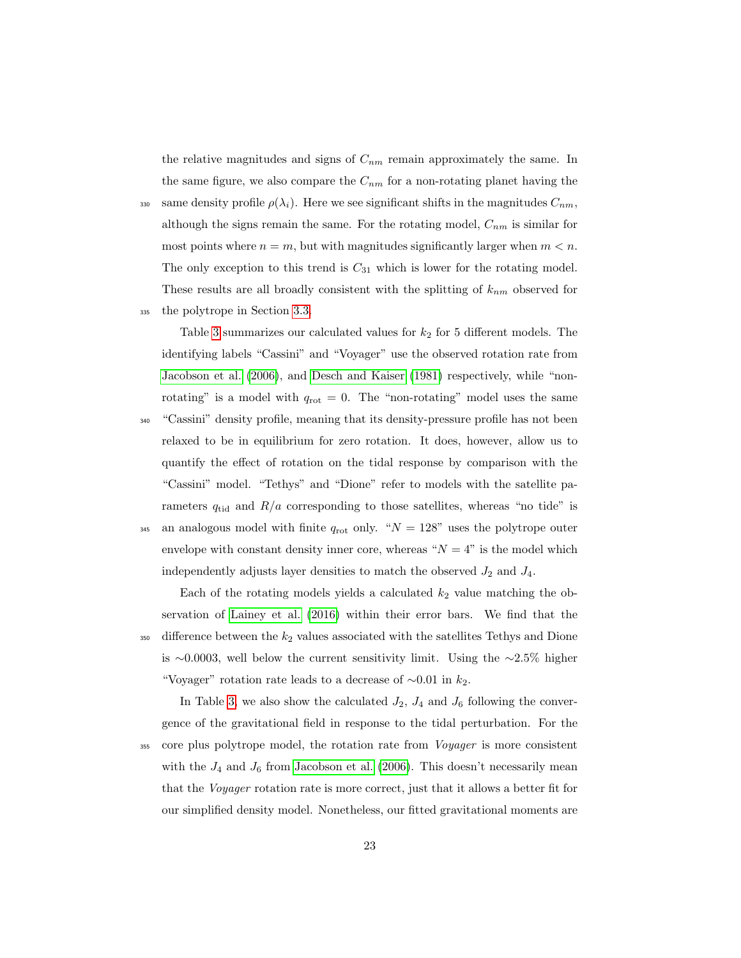the relative magnitudes and signs of  $C_{nm}$  remain approximately the same. In the same figure, we also compare the  $C_{nm}$  for a non-rotating planet having the

330 same density profile  $\rho(\lambda_i)$ . Here we see significant shifts in the magnitudes  $C_{nm}$ , although the signs remain the same. For the rotating model,  $C_{nm}$  is similar for most points where  $n = m$ , but with magnitudes significantly larger when  $m < n$ . The only exception to this trend is  $C_{31}$  which is lower for the rotating model. These results are all broadly consistent with the splitting of  $k_{nm}$  observed for <sup>335</sup> the polytrope in Section [3.3.](#page-17-2)

Table [3](#page-31-0) summarizes our calculated values for  $k_2$  for 5 different models. The identifying labels "Cassini" and "Voyager" use the observed rotation rate from [Jacobson et al.](#page-26-5) [\(2006\)](#page-26-5), and [Desch and Kaiser](#page-25-3) [\(1981\)](#page-25-3) respectively, while "nonrotating" is a model with  $q_{\text{rot}} = 0$ . The "non-rotating" model uses the same "Cassini" density profile, meaning that its density-pressure profile has not been relaxed to be in equilibrium for zero rotation. It does, however, allow us to quantify the effect of rotation on the tidal response by comparison with the "Cassini" model. "Tethys" and "Dione" refer to models with the satellite parameters  $q_{tid}$  and  $R/a$  corresponding to those satellites, whereas "no tide" is 345 an analogous model with finite  $q_{\text{rot}}$  only. " $N = 128$ " uses the polytrope outer envelope with constant density inner core, whereas " $N = 4$ " is the model which independently adjusts layer densities to match the observed  $J_2$  and  $J_4$ .

Each of the rotating models yields a calculated  $k_2$  value matching the observation of [Lainey et al.](#page-27-0) [\(2016\)](#page-27-0) within their error bars. We find that the  $_{350}$  difference between the  $k_2$  values associated with the satellites Tethys and Dione is ∼0.0003, well below the current sensitivity limit. Using the ∼2.5% higher "Voyager" rotation rate leads to a decrease of  $\sim 0.01$  in  $k_2$ .

In Table [3,](#page-31-0) we also show the calculated  $J_2$ ,  $J_4$  and  $J_6$  following the convergence of the gravitational field in response to the tidal perturbation. For the

<sup>355</sup> core plus polytrope model, the rotation rate from *Voyager* is more consistent with the  $J_4$  and  $J_6$  from [Jacobson et al.](#page-26-5) [\(2006\)](#page-26-5). This doesn't necessarily mean that the Voyager rotation rate is more correct, just that it allows a better fit for our simplified density model. Nonetheless, our fitted gravitational moments are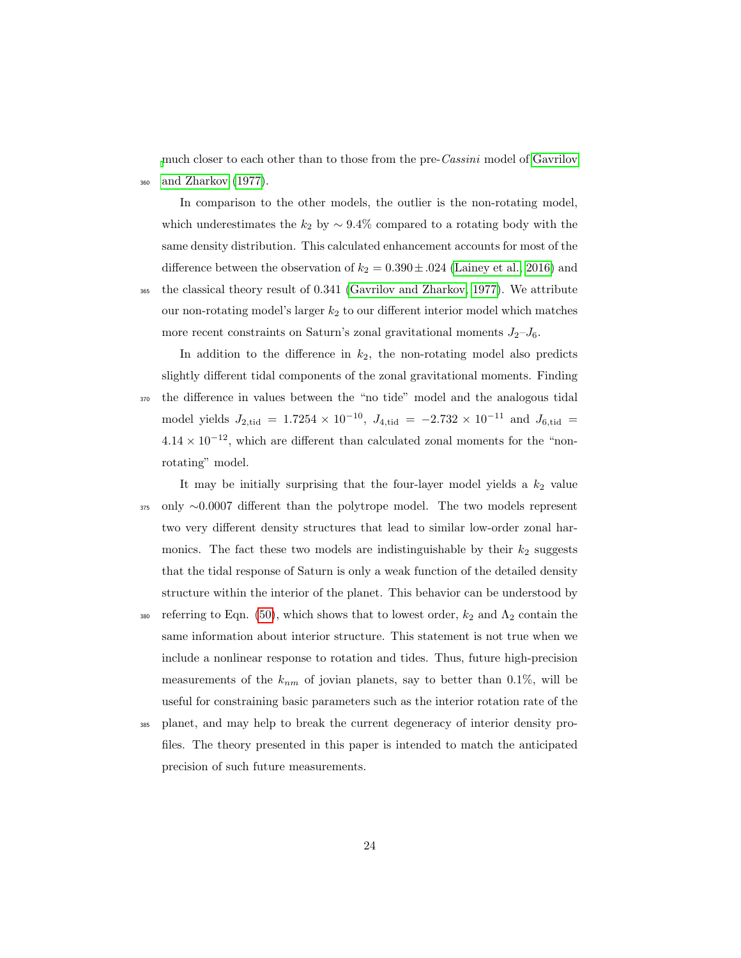[m](#page-25-1)uch closer to each other than to those from the pre-Cassini model of [Gavrilov](#page-25-1) <sup>360</sup> [and Zharkov](#page-25-1) [\(1977\)](#page-25-1).

In comparison to the other models, the outlier is the non-rotating model, which underestimates the  $k_2$  by  $\sim$  9.4% compared to a rotating body with the same density distribution. This calculated enhancement accounts for most of the difference between the observation of  $k_2 = 0.390 \pm .024$  [\(Lainey et al., 2016\)](#page-27-0) and <sup>365</sup> the classical theory result of 0.341 [\(Gavrilov and Zharkov, 1977\)](#page-25-1). We attribute our non-rotating model's larger  $k_2$  to our different interior model which matches more recent constraints on Saturn's zonal gravitational moments  $J_2-J_6$ .

In addition to the difference in  $k_2$ , the non-rotating model also predicts slightly different tidal components of the zonal gravitational moments. Finding <sup>370</sup> the difference in values between the "no tide" model and the analogous tidal model yields  $J_{2,\text{tid}} = 1.7254 \times 10^{-10}$ ,  $J_{4,\text{tid}} = -2.732 \times 10^{-11}$  and  $J_{6,\text{tid}} =$  $4.14 \times 10^{-12}$ , which are different than calculated zonal moments for the "nonrotating" model.

It may be initially surprising that the four-layer model yields a  $k_2$  value <sup>375</sup> only ∼0.0007 different than the polytrope model. The two models represent two very different density structures that lead to similar low-order zonal harmonics. The fact these two models are indistinguishable by their  $k_2$  suggests that the tidal response of Saturn is only a weak function of the detailed density structure within the interior of the planet. This behavior can be understood by

380 referring to Eqn. [\(50\)](#page-18-1), which shows that to lowest order,  $k_2$  and  $\Lambda_2$  contain the same information about interior structure. This statement is not true when we include a nonlinear response to rotation and tides. Thus, future high-precision measurements of the  $k_{nm}$  of jovian planets, say to better than 0.1%, will be useful for constraining basic parameters such as the interior rotation rate of the

<sup>385</sup> planet, and may help to break the current degeneracy of interior density profiles. The theory presented in this paper is intended to match the anticipated precision of such future measurements.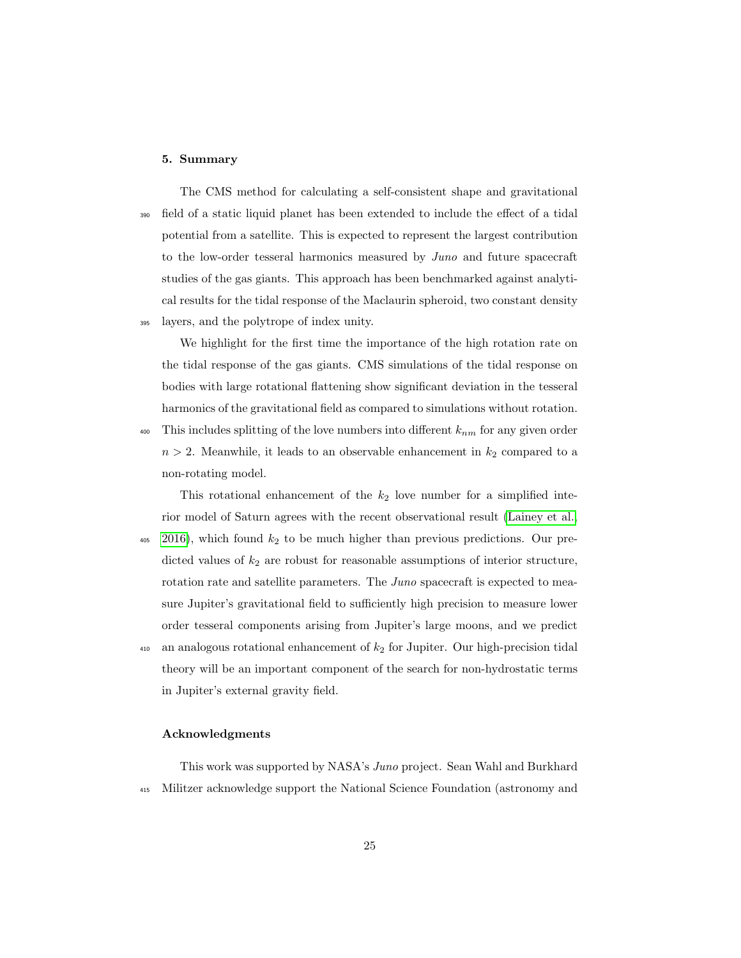# 5. Summary

The CMS method for calculating a self-consistent shape and gravitational <sup>390</sup> field of a static liquid planet has been extended to include the effect of a tidal potential from a satellite. This is expected to represent the largest contribution to the low-order tesseral harmonics measured by Juno and future spacecraft studies of the gas giants. This approach has been benchmarked against analytical results for the tidal response of the Maclaurin spheroid, two constant density <sup>395</sup> layers, and the polytrope of index unity.

We highlight for the first time the importance of the high rotation rate on the tidal response of the gas giants. CMS simulations of the tidal response on bodies with large rotational flattening show significant deviation in the tesseral harmonics of the gravitational field as compared to simulations without rotation.

 $_{400}$  This includes splitting of the love numbers into different  $k_{nm}$  for any given order  $n > 2$ . Meanwhile, it leads to an observable enhancement in  $k_2$  compared to a non-rotating model.

This rotational enhancement of the  $k_2$  love number for a simplified interior model of Saturn agrees with the recent observational result [\(Lainey et al.,](#page-27-0)  $405$  [2016\)](#page-27-0), which found  $k_2$  to be much higher than previous predictions. Our predicted values of  $k_2$  are robust for reasonable assumptions of interior structure, rotation rate and satellite parameters. The Juno spacecraft is expected to measure Jupiter's gravitational field to sufficiently high precision to measure lower order tesseral components arising from Jupiter's large moons, and we predict  $_{410}$  an analogous rotational enhancement of  $k<sub>2</sub>$  for Jupiter. Our high-precision tidal theory will be an important component of the search for non-hydrostatic terms in Jupiter's external gravity field.

# Acknowledgments

This work was supported by NASA's Juno project. Sean Wahl and Burkhard <sup>415</sup> Militzer acknowledge support the National Science Foundation (astronomy and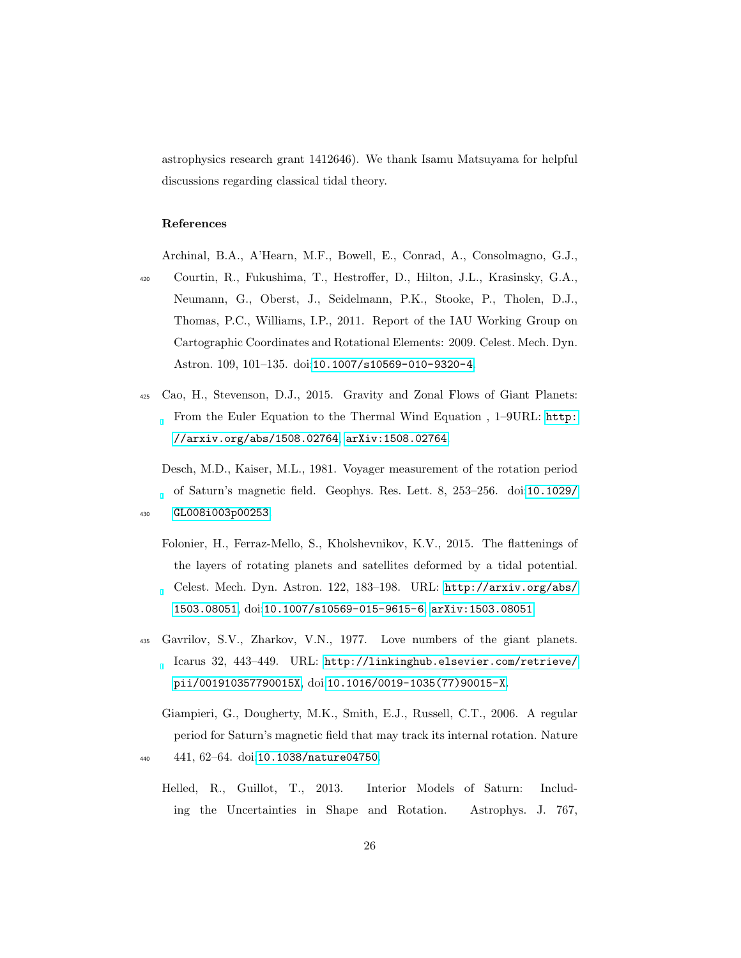astrophysics research grant 1412646). We thank Isamu Matsuyama for helpful discussions regarding classical tidal theory.

# References

<span id="page-25-5"></span>Archinal, B.A., A'Hearn, M.F., Bowell, E., Conrad, A., Consolmagno, G.J.,

- <sup>420</sup> Courtin, R., Fukushima, T., Hestroffer, D., Hilton, J.L., Krasinsky, G.A., Neumann, G., Oberst, J., Seidelmann, P.K., Stooke, P., Tholen, D.J., Thomas, P.C., Williams, I.P., 2011. Report of the IAU Working Group on Cartographic Coordinates and Rotational Elements: 2009. Celest. Mech. Dyn. Astron. 109, 101–135. doi:[10.1007/s10569-010-9320-4](http://dx.doi.org/10.1007/s10569-010-9320-4).
- <span id="page-25-0"></span><sup>425</sup> Cao, H., Stevenson, D.J., 2015. Gravity and Zonal Flows of Giant Planets: From the Euler Equation to the Thermal Wind Equation , 1–9URL: [http:](http://arxiv.org/abs/1508.02764) [//arxiv.org/abs/1508.02764](http://arxiv.org/abs/1508.02764), [arXiv:1508.02764](http://arxiv.org/abs/1508.02764).

<span id="page-25-3"></span>Desch, M.D., Kaiser, M.L., 1981. Voyager measurement of the rotation period of Saturn's magnetic field. Geophys. Res. Lett. 8, 253–256. doi:[10.1029/](http://dx.doi.org/10.1029/GL008i003p00253) <sup>430</sup> [GL008i003p00253](http://dx.doi.org/10.1029/GL008i003p00253).

- <span id="page-25-2"></span>Folonier, H., Ferraz-Mello, S., Kholshevnikov, K.V., 2015. The flattenings of the layers of rotating planets and satellites deformed by a tidal potential. Celest. Mech. Dyn. Astron. 122, 183–198. URL: [http://arxiv.org/abs/](http://arxiv.org/abs/1503.08051) [1503.08051](http://arxiv.org/abs/1503.08051), doi:[10.1007/s10569-015-9615-6](http://dx.doi.org/10.1007/s10569-015-9615-6), [arXiv:1503.08051](http://arxiv.org/abs/1503.08051).
- <span id="page-25-1"></span><sup>435</sup> Gavrilov, S.V., Zharkov, V.N., 1977. Love numbers of the giant planets. Icarus 32, 443–449. URL: [http://linkinghub.elsevier.com/retrieve/](http://linkinghub.elsevier.com/retrieve/pii/001910357790015X) [pii/001910357790015X](http://linkinghub.elsevier.com/retrieve/pii/001910357790015X), doi:[10.1016/0019-1035\(77\)90015-X](http://dx.doi.org/10.1016/0019-1035(77)90015-X).
- <span id="page-25-6"></span><span id="page-25-4"></span>Giampieri, G., Dougherty, M.K., Smith, E.J., Russell, C.T., 2006. A regular period for Saturn's magnetic field that may track its internal rotation. Nature <sup>440</sup> 441, 62–64. doi:[10.1038/nature04750](http://dx.doi.org/10.1038/nature04750).
	- Helled, R., Guillot, T., 2013. Interior Models of Saturn: Including the Uncertainties in Shape and Rotation. Astrophys. J. 767,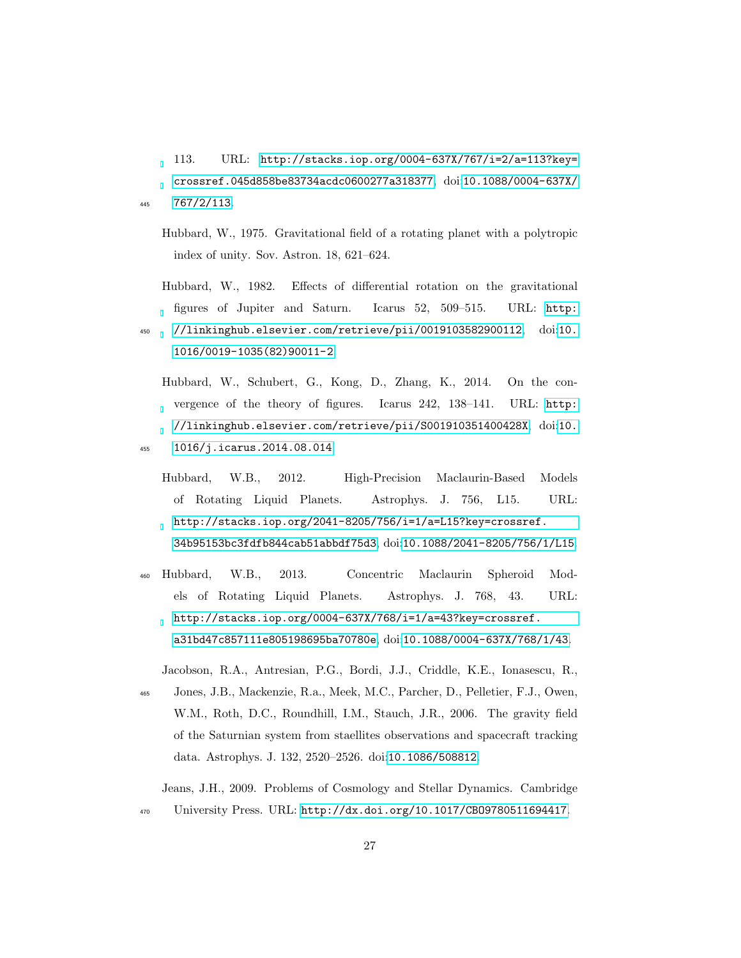113. URL: [http://stacks.iop.org/0004-637X/767/i=2/a=113?key=](http://stacks.iop.org/0004-637X/767/i=2/a=113?key=crossref.045d858be83734acdc0600277a318377) [crossref.045d858be83734acdc0600277a318377](http://stacks.iop.org/0004-637X/767/i=2/a=113?key=crossref.045d858be83734acdc0600277a318377), doi:[10.1088/0004-637X/](http://dx.doi.org/10.1088/0004-637X/767/2/113) <sup>445</sup> [767/2/113](http://dx.doi.org/10.1088/0004-637X/767/2/113).

- <span id="page-26-4"></span>Hubbard, W., 1975. Gravitational field of a rotating planet with a polytropic index of unity. Sov. Astron. 18, 621–624.
- <span id="page-26-6"></span>Hubbard, W., 1982. Effects of differential rotation on the gravitational figures of Jupiter and Saturn. Icarus 52, 509–515. URL: [http:](http://linkinghub.elsevier.com/retrieve/pii/0019103582900112)
- <span id="page-26-2"></span><sup>450</sup> [//linkinghub.elsevier.com/retrieve/pii/0019103582900112](http://linkinghub.elsevier.com/retrieve/pii/0019103582900112), doi:[10.](http://dx.doi.org/10.1016/0019-1035(82)90011-2) [1016/0019-1035\(82\)90011-2](http://dx.doi.org/10.1016/0019-1035(82)90011-2).
	- Hubbard, W., Schubert, G., Kong, D., Zhang, K., 2014. On the convergence of the theory of figures. Icarus 242, 138–141. URL: [http:](http://linkinghub.elsevier.com/retrieve/pii/S001910351400428X) [//linkinghub.elsevier.com/retrieve/pii/S001910351400428X](http://linkinghub.elsevier.com/retrieve/pii/S001910351400428X), doi:[10.](http://dx.doi.org/10.1016/j.icarus.2014.08.014)
- <span id="page-26-0"></span><sup>455</sup> [1016/j.icarus.2014.08.014](http://dx.doi.org/10.1016/j.icarus.2014.08.014).
	- Hubbard, W.B., 2012. High-Precision Maclaurin-Based Models of Rotating Liquid Planets. Astrophys. J. 756, L15. URL: [http://stacks.iop.org/2041-8205/756/i=1/a=L15?key=crossref.](http://stacks.iop.org/2041-8205/756/i=1/a=L15?key=crossref.34b95153bc3fdfb844cab51abbdf75d3) [34b95153bc3fdfb844cab51abbdf75d3](http://stacks.iop.org/2041-8205/756/i=1/a=L15?key=crossref.34b95153bc3fdfb844cab51abbdf75d3), doi:[10.1088/2041-8205/756/1/L15](http://dx.doi.org/10.1088/2041-8205/756/1/L15).
- <span id="page-26-1"></span><sup>460</sup> Hubbard, W.B., 2013. Concentric Maclaurin Spheroid Models of Rotating Liquid Planets. Astrophys. J. 768, 43. URL: [http://stacks.iop.org/0004-637X/768/i=1/a=43?key=crossref.](http://stacks.iop.org/0004-637X/768/i=1/a=43?key=crossref.a31bd47c857111e805198695ba70780e) [a31bd47c857111e805198695ba70780e](http://stacks.iop.org/0004-637X/768/i=1/a=43?key=crossref.a31bd47c857111e805198695ba70780e), doi:[10.1088/0004-637X/768/1/43](http://dx.doi.org/10.1088/0004-637X/768/1/43).

<span id="page-26-5"></span>Jacobson, R.A., Antresian, P.G., Bordi, J.J., Criddle, K.E., Ionasescu, R., <sup>465</sup> Jones, J.B., Mackenzie, R.a., Meek, M.C., Parcher, D., Pelletier, F.J., Owen, W.M., Roth, D.C., Roundhill, I.M., Stauch, J.R., 2006. The gravity field of the Saturnian system from staellites observations and spacecraft tracking data. Astrophys. J. 132, 2520–2526. doi:[10.1086/508812](http://dx.doi.org/10.1086/508812).

<span id="page-26-3"></span>Jeans, J.H., 2009. Problems of Cosmology and Stellar Dynamics. Cambridge <sup>470</sup> University Press. URL: <http://dx.doi.org/10.1017/CBO9780511694417>.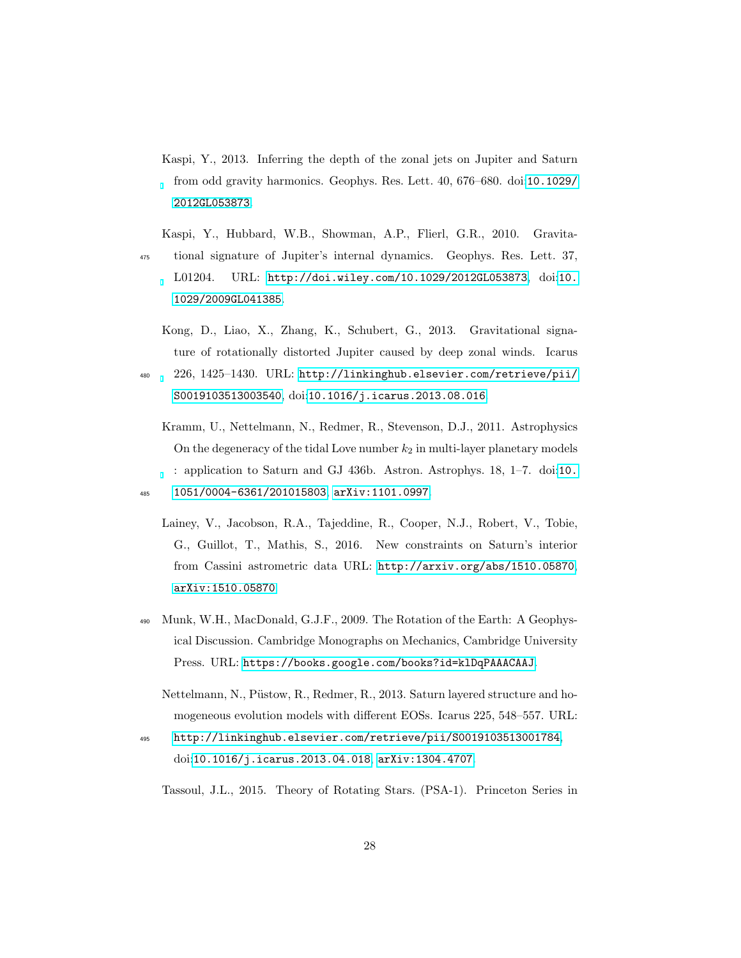- <span id="page-27-2"></span>Kaspi, Y., 2013. Inferring the depth of the zonal jets on Jupiter and Saturn from odd gravity harmonics. Geophys. Res. Lett. 40, 676–680. doi:[10.1029/](http://dx.doi.org/10.1029/2012GL053873) [2012GL053873](http://dx.doi.org/10.1029/2012GL053873).
- <span id="page-27-1"></span>Kaspi, Y., Hubbard, W.B., Showman, A.P., Flierl, G.R., 2010. Gravita-<sup>475</sup> tional signature of Jupiter's internal dynamics. Geophys. Res. Lett. 37, L01204. URL: <http://doi.wiley.com/10.1029/2012GL053873>, doi:[10.](http://dx.doi.org/10.1029/2009GL041385) [1029/2009GL041385](http://dx.doi.org/10.1029/2009GL041385).
	- Kong, D., Liao, X., Zhang, K., Schubert, G., 2013. Gravitational signature of rotationally distorted Jupiter caused by deep zonal winds. Icarus
- <span id="page-27-7"></span><sup>480</sup> 226, 1425–1430. URL: [http://linkinghub.elsevier.com/retrieve/pii/](http://linkinghub.elsevier.com/retrieve/pii/S0019103513003540) [S0019103513003540](http://linkinghub.elsevier.com/retrieve/pii/S0019103513003540), doi:[10.1016/j.icarus.2013.08.016](http://dx.doi.org/10.1016/j.icarus.2013.08.016).
- <span id="page-27-5"></span><span id="page-27-0"></span>Kramm, U., Nettelmann, N., Redmer, R., Stevenson, D.J., 2011. Astrophysics On the degeneracy of the tidal Love number  $k_2$  in multi-layer planetary models : application to Saturn and GJ 436b. Astron. Astrophys. 18, 1–7. doi:[10.](http://dx.doi.org/10.1051/0004-6361/201015803) <sup>485</sup> [1051/0004-6361/201015803](http://dx.doi.org/10.1051/0004-6361/201015803), [arXiv:1101.0997](http://arxiv.org/abs/1101.0997).
	- Lainey, V., Jacobson, R.A., Tajeddine, R., Cooper, N.J., Robert, V., Tobie, G., Guillot, T., Mathis, S., 2016. New constraints on Saturn's interior from Cassini astrometric data URL: <http://arxiv.org/abs/1510.05870>, [arXiv:1510.05870](http://arxiv.org/abs/1510.05870).
- <span id="page-27-4"></span><sup>490</sup> Munk, W.H., MacDonald, G.J.F., 2009. The Rotation of the Earth: A Geophysical Discussion. Cambridge Monographs on Mechanics, Cambridge University Press. URL: <https://books.google.com/books?id=klDqPAAACAAJ>.
	- Nettelmann, N., Püstow, R., Redmer, R., 2013. Saturn layered structure and homogeneous evolution models with different EOSs. Icarus 225, 548–557. URL:
- <span id="page-27-6"></span><sup>495</sup> <http://linkinghub.elsevier.com/retrieve/pii/S0019103513001784>, doi:[10.1016/j.icarus.2013.04.018](http://dx.doi.org/10.1016/j.icarus.2013.04.018), [arXiv:1304.4707](http://arxiv.org/abs/1304.4707).

<span id="page-27-3"></span>Tassoul, J.L., 2015. Theory of Rotating Stars. (PSA-1). Princeton Series in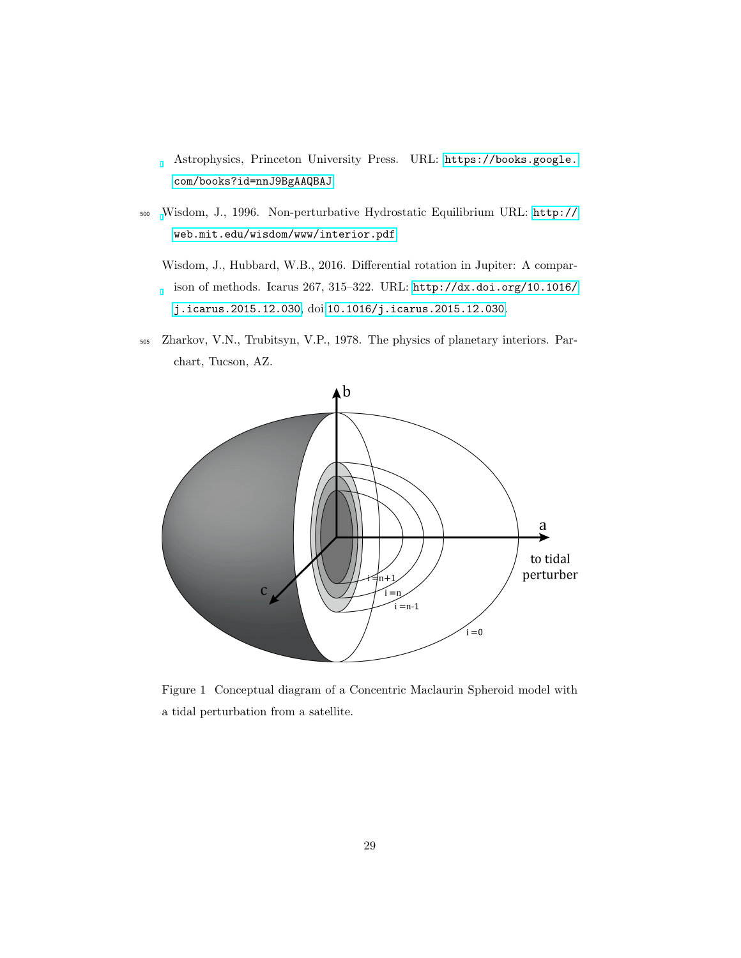Astrophysics, Princeton University Press. URL: [https://books.google.](https://books.google.com/books?id=nnJ9BgAAQBAJ) [com/books?id=nnJ9BgAAQBAJ](https://books.google.com/books?id=nnJ9BgAAQBAJ).

- <span id="page-28-1"></span><span id="page-28-0"></span><sup>500</sup> [W](http://web.mit.edu/wisdom/www/interior.pdf)isdom, J., 1996. Non-perturbative Hydrostatic Equilibrium URL: [http://](http://web.mit.edu/wisdom/www/interior.pdf) [web.mit.edu/wisdom/www/interior.pdf](http://web.mit.edu/wisdom/www/interior.pdf).
	- Wisdom, J., Hubbard, W.B., 2016. Differential rotation in Jupiter: A comparison of methods. Icarus 267, 315–322. URL: [http://dx.doi.org/10.1016/](http://dx.doi.org/10.1016/j.icarus.2015.12.030) [j.icarus.2015.12.030](http://dx.doi.org/10.1016/j.icarus.2015.12.030), doi:[10.1016/j.icarus.2015.12.030](http://dx.doi.org/10.1016/j.icarus.2015.12.030).
- <span id="page-28-2"></span><sup>505</sup> Zharkov, V.N., Trubitsyn, V.P., 1978. The physics of planetary interiors. Parchart, Tucson, AZ.



<span id="page-28-3"></span>Figure 1 Conceptual diagram of a Concentric Maclaurin Spheroid model with a tidal perturbation from a satellite.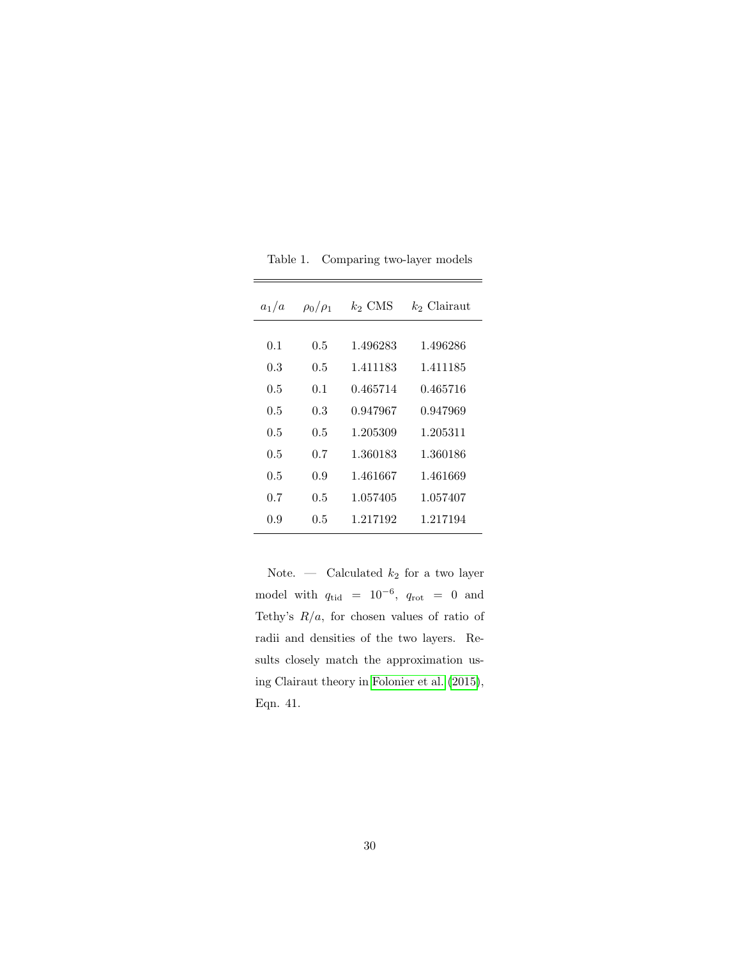| $a_1/a$ | $\rho_0/\rho_1$ | $k_2$ CMS | $k_2$ Clairaut |
|---------|-----------------|-----------|----------------|
| 0.1     | 0.5             | 1.496283  | 1.496286       |
| 0.3     | $0.5\,$         | 1.411183  | 1.411185       |
| 0.5     | 0.1             | 0.465714  | 0.465716       |
| 0.5     | 0.3             | 0.947967  | 0.947969       |
| 0.5     | 0.5             | 1.205309  | 1.205311       |
| 0.5     | 0.7             | 1.360183  | 1.360186       |
| 0.5     | 0.9             | 1.461667  | 1.461669       |
| 0.7     | 0.5             | 1.057405  | 1.057407       |
| 0.9     | 0.5             | 1.217192  | 1.217194       |

<span id="page-29-0"></span>Table 1. Comparing two-layer models

Note.  $\qquad$  Calculated  $k_2$  for a two layer model with  $q_{tid}$  = 10<sup>-6</sup>,  $q_{rot}$  = 0 and Tethy's  $R/a$ , for chosen values of ratio of radii and densities of the two layers. Results closely match the approximation using Clairaut theory in [Folonier et al.](#page-25-2) [\(2015\)](#page-25-2), Eqn. 41.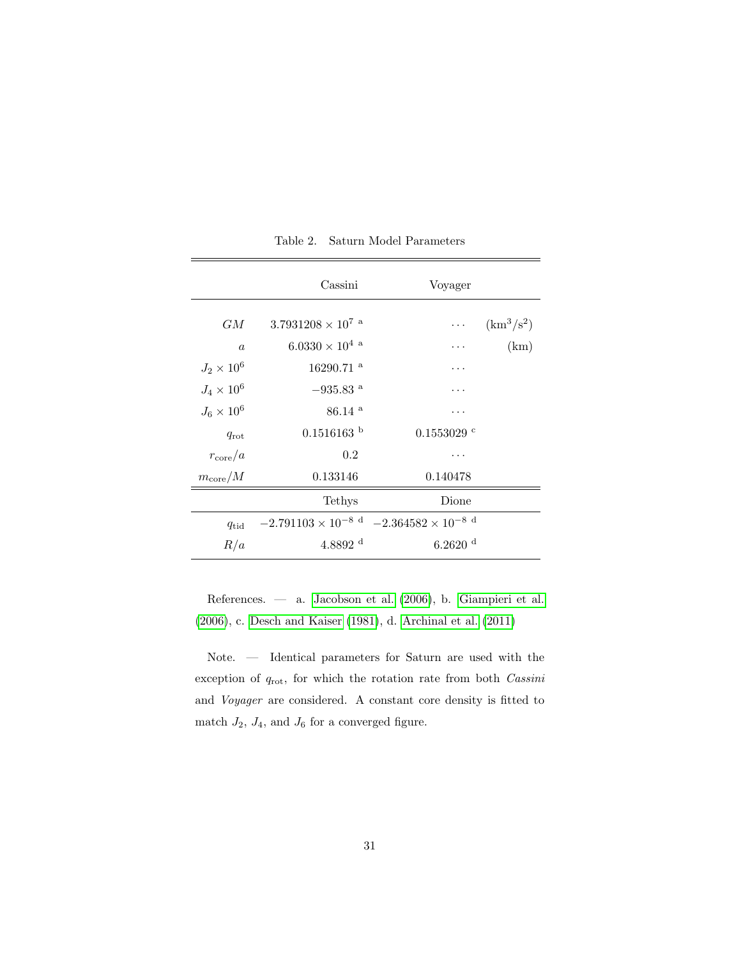|                   | Cassini                                                   | Voyager               |              |  |
|-------------------|-----------------------------------------------------------|-----------------------|--------------|--|
| GM                | $3.7931208\times10^{7}$ a                                 | $\ldots$ .            | $(km^3/s^2)$ |  |
| $\alpha$          | $6.0330 \times 10^{4}$ <sup>a</sup>                       | .                     | (km)         |  |
| $J_2 \times 10^6$ | $16290.71$ <sup>a</sup>                                   | .                     |              |  |
| $J_4 \times 10^6$ | $-935.83$ <sup>a</sup>                                    |                       |              |  |
| $J_6 \times 10^6$ | $86.14$ <sup>a</sup>                                      | .                     |              |  |
| $q_{\rm rot}$     | $0.1516163$ b                                             | $0.1553029$ c         |              |  |
| $r_{\rm core}/a$  | 0.2                                                       |                       |              |  |
| $m_{\rm core}/M$  | 0.133146                                                  | 0.140478              |              |  |
|                   | Tethys                                                    | Dione                 |              |  |
| $q_{tid}$         | $-2.791103 \times 10^{-8}$ d $-2.364582 \times 10^{-8}$ d |                       |              |  |
| R/a               | $4.8892$ <sup>d</sup>                                     | $6.2620$ <sup>d</sup> |              |  |

<span id="page-30-0"></span>Table 2. Saturn Model Parameters

References. — a. [Jacobson et al.](#page-26-5) [\(2006\)](#page-26-5), b. [Giampieri et al.](#page-25-4) [\(2006\)](#page-25-4), c. [Desch and Kaiser](#page-25-3) [\(1981\)](#page-25-3), d. [Archinal et al.](#page-25-5) [\(2011\)](#page-25-5)

Note. — Identical parameters for Saturn are used with the exception of  $q_{\text{rot}}$ , for which the rotation rate from both  $\textit{Cassini}$ and Voyager are considered. A constant core density is fitted to match  $J_2$ ,  $J_4$ , and  $J_6$  for a converged figure.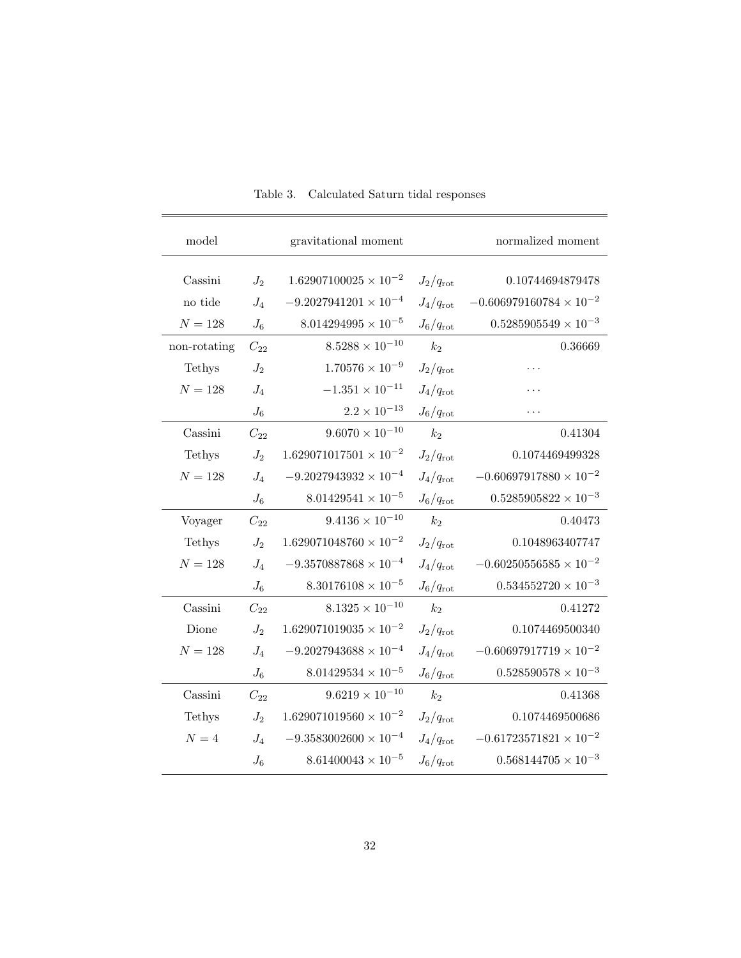| model        | gravitational moment |                                 |                   | normalized moment                |
|--------------|----------------------|---------------------------------|-------------------|----------------------------------|
| Cassini      | $J_2$                | $1.62907100025\times10^{-2}$    | $J_2/q_{\rm rot}$ | 0.10744694879478                 |
| no tide      | $J_4$                | $-9.2027941201 \times 10^{-4}$  | $J_4/q_{\rm rot}$ | $-0.606979160784 \times 10^{-2}$ |
| $N = 128$    | $J_6$                | $8.014294995 \times 10^{-5}$    | $J_6/q_{\rm rot}$ | $0.5285905549 \times 10^{-3}$    |
| non-rotating | $C_{22}$             | $8.5288 \times 10^{-10}$        | $k_2$             | 0.36669                          |
| Tethys       | $J_2$                | $1.70576 \times 10^{-9}$        | $J_2/q_{\rm rot}$ |                                  |
| $N = 128$    | $J_4$                | $-1.351 \times 10^{-11}$        | $J_4/q_{\rm rot}$ |                                  |
|              | $J_6$                | $2.2\times10^{-13}$             | $J_6/q_{\rm rot}$ |                                  |
| Cassini      | $C_{22}$             | $9.6070 \times 10^{-10}$        | $k_2$             | 0.41304                          |
| Tethys       | $J_2$                | $1.629071017501\times10^{-2}$   | $J_2/q_{\rm rot}$ | 0.1074469499328                  |
| $N = 128$    | $J_4$                | $-9.2027943932 \times 10^{-4}$  | $J_4/q_{\rm rot}$ | $-0.60697917880 \times 10^{-2}$  |
|              | $J_6$                | $8.01429541 \times 10^{-5}$     | $J_6/q_{\rm rot}$ | $0.5285905822\times10^{-3}$      |
| Voyager      | $C_{22}$             | $9.4136 \times 10^{-10}$        | k <sub>2</sub>    | 0.40473                          |
| Tethys       | $J_2$                | $1.629071048760\times10^{-2}$   | $J_2/q_{\rm rot}$ | 0.1048963407747                  |
| $N = 128$    | $J_4$                | $-9.3570887868 \times 10^{-4}$  | $J_4/q_{\rm rot}$ | $-0.60250556585\times10^{-2}$    |
|              | $J_6$                | $8.30176108 \times 10^{-5}$     | $J_6/q_{\rm rot}$ | $0.534552720 \times 10^{-3}$     |
| Cassini      | $C_{22}$             | $8.1325 \times 10^{-10}$        | k <sub>2</sub>    | 0.41272                          |
| Dione        | $J_2$                | $1.629071019035 \times 10^{-2}$ | $J_2/q_{\rm rot}$ | 0.1074469500340                  |
| $N = 128$    | $J_4$                | $-9.2027943688 \times 10^{-4}$  | $J_4/q_{\rm rot}$ | $-0.60697917719 \times 10^{-2}$  |
|              | $J_6$                | $8.01429534 \times 10^{-5}$     | $J_6/q_{\rm rot}$ | $0.528590578 \times 10^{-3}$     |
| Cassini      | $C_{22}$             | $9.6219 \times 10^{-10}$        | $k_2$             | 0.41368                          |
| Tethys       | $J_2$                | $1.629071019560 \times 10^{-2}$ | $J_2/q_{\rm rot}$ | 0.1074469500686                  |
| $N=4$        | $J_4$                | $-9.3583002600\times10^{-4}$    | $J_4/q_{\rm rot}$ | $-0.61723571821 \times 10^{-2}$  |
|              | $J_6$                | $8.61400043 \times 10^{-5}$     | $J_6/q_{\rm rot}$ | $0.568144705 \times 10^{-3}$     |
|              |                      |                                 |                   |                                  |

<span id="page-31-0"></span>Table 3. Calculated Saturn tidal responses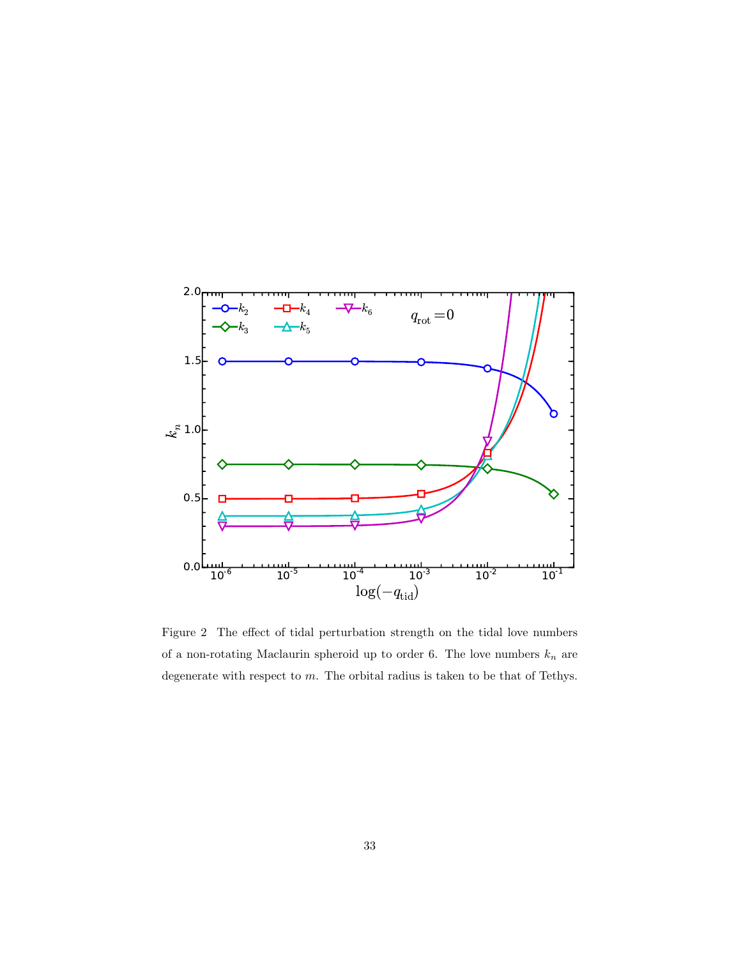

<span id="page-32-0"></span>Figure 2 The effect of tidal perturbation strength on the tidal love numbers of a non-rotating Maclaurin spheroid up to order 6. The love numbers  $\mathcal{k}_n$  are degenerate with respect to  $m.$  The orbital radius is taken to be that of Tethys.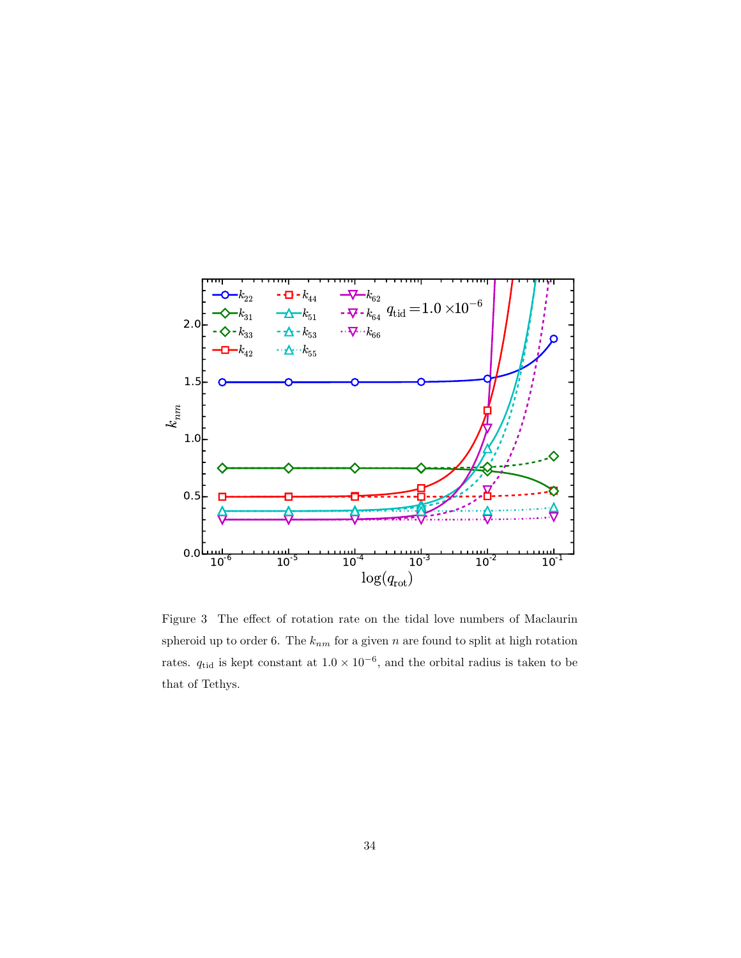

<span id="page-33-0"></span>Figure 3 The effect of rotation rate on the tidal love numbers of Maclaurin spheroid up to order 6. The  $k_{nm}$  for a given n are found to split at high rotation rates.  $q_{tid}$  is kept constant at  $1.0 \times 10^{-6}$ , and the orbital radius is taken to be that of Tethys.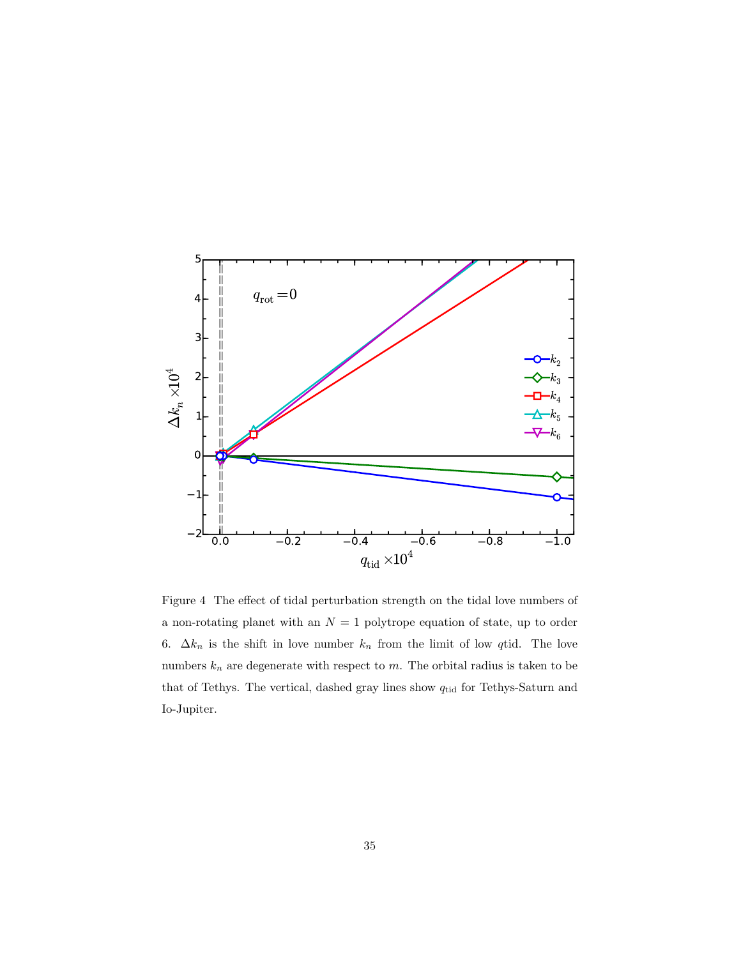

<span id="page-34-0"></span>Figure 4 The effect of tidal perturbation strength on the tidal love numbers of a non-rotating planet with an  $N = 1$  polytrope equation of state, up to order 6.  $\Delta k_n$  is the shift in love number  $k_n$  from the limit of low qtid. The love numbers  $k_n$  are degenerate with respect to m. The orbital radius is taken to be that of Tethys. The vertical, dashed gray lines show  $q_{\rm tid}$  for Tethys-Saturn and Io-Jupiter.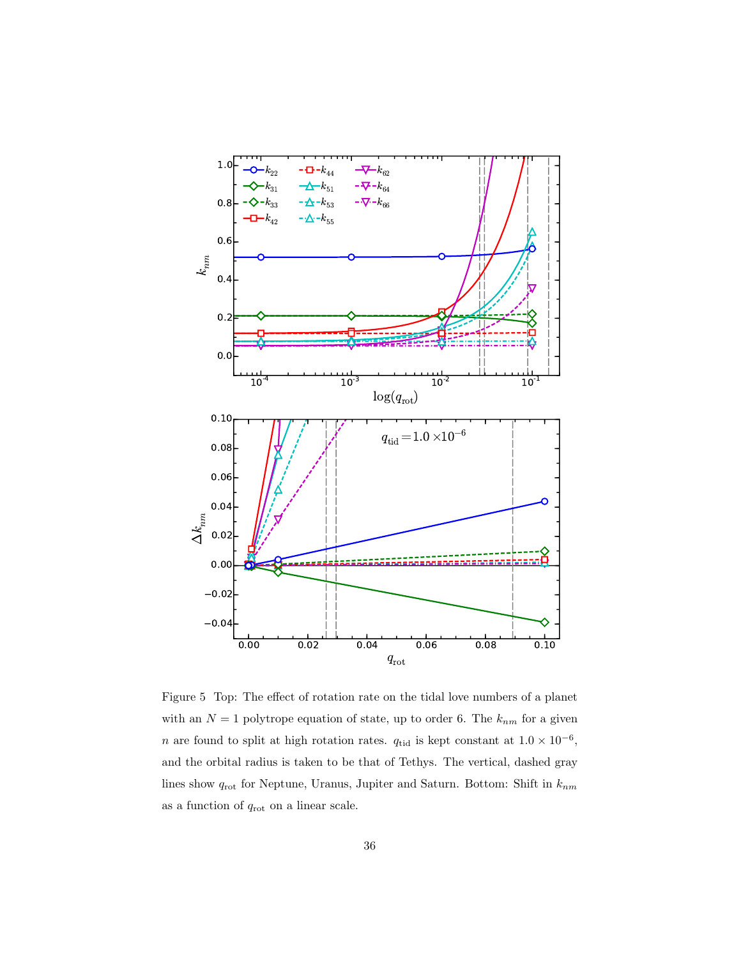

<span id="page-35-0"></span>Figure 5 Top: The effect of rotation rate on the tidal love numbers of a planet with an  $N = 1$  polytrope equation of state, up to order 6. The  $k_{nm}$  for a given n are found to split at high rotation rates.  $q_{tid}$  is kept constant at  $1.0 \times 10^{-6}$ , and the orbital radius is taken to be that of Tethys. The vertical, dashed gray lines show  $q_{\rm rot}$  for Neptune, Uranus, Jupiter and Saturn. Bottom: Shift in  $k_{nm}$ as a function of  $q_{\text{rot}}$  on a linear scale.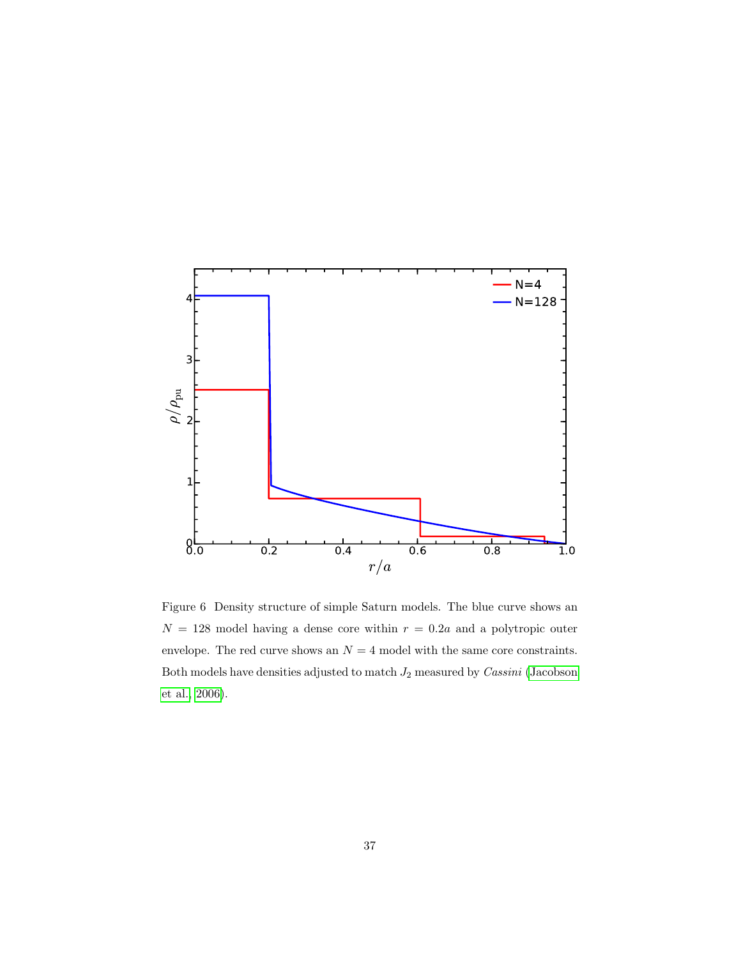

<span id="page-36-0"></span>Figure 6 Density structure of simple Saturn models. The blue curve shows an  $N = 128$  model having a dense core within  $r = 0.2a$  and a polytropic outer envelope. The red curve shows an  ${\cal N}=4$  model with the same core constraints. Both models have densities adjusted to match  $J_2$  measured by  $\textit{Cassini}$  [\(Jacobson](#page-26-5) [et al., 2006\)](#page-26-5).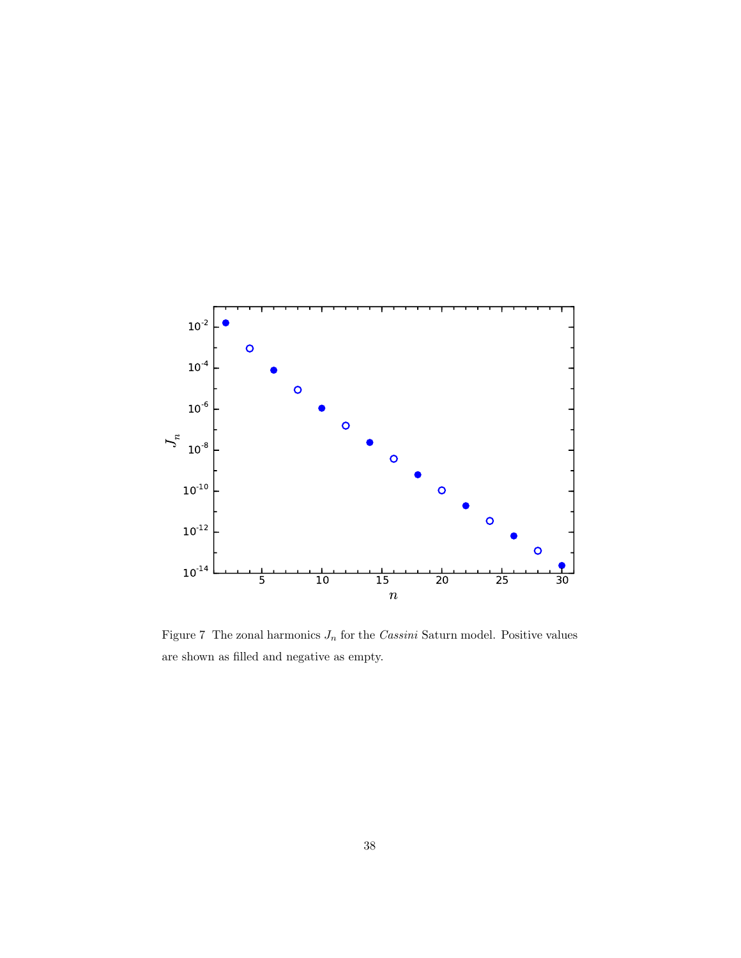

<span id="page-37-0"></span>Figure 7 The zonal harmonics  $J_n$  for the *Cassini* Saturn model. Positive values are shown as filled and negative as empty.